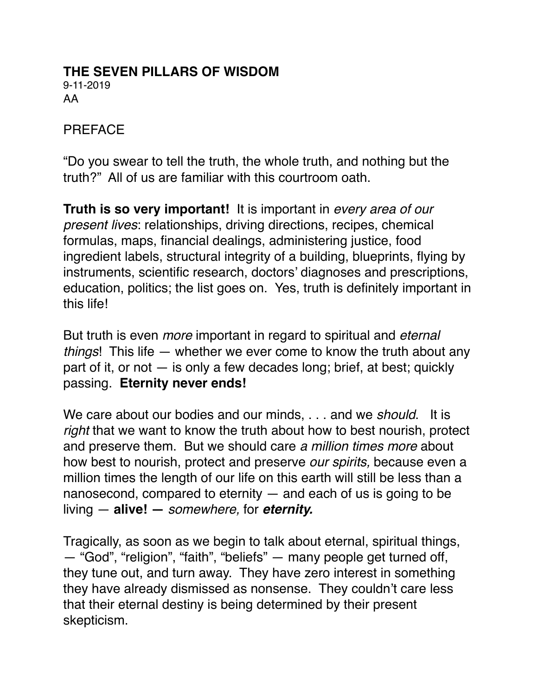#### **THE SEVEN PILLARS OF WISDOM** 9-11-2019 AA

#### PREFACE

"Do you swear to tell the truth, the whole truth, and nothing but the truth?" All of us are familiar with this courtroom oath.

**Truth is so very important!** It is important in *every area of our present lives*: relationships, driving directions, recipes, chemical formulas, maps, financial dealings, administering justice, food ingredient labels, structural integrity of a building, blueprints, flying by instruments, scientific research, doctors' diagnoses and prescriptions, education, politics; the list goes on. Yes, truth is definitely important in this life!

But truth is even *more* important in regard to spiritual and *eternal things*! This life — whether we ever come to know the truth about any part of it, or not — is only a few decades long; brief, at best; quickly passing. **Eternity never ends!**

We care about our bodies and our minds, . . . and we *should*. It is *right* that we want to know the truth about how to best nourish, protect and preserve them. But we should care *a million times more* about how best to nourish, protect and preserve *our spirits,* because even a million times the length of our life on this earth will still be less than a nanosecond, compared to eternity — and each of us is going to be living — **alive! —** *somewhere,* for *eternity.*

Tragically, as soon as we begin to talk about eternal, spiritual things, — "God", "religion", "faith", "beliefs" — many people get turned off, they tune out, and turn away. They have zero interest in something they have already dismissed as nonsense. They couldn't care less that their eternal destiny is being determined by their present skepticism.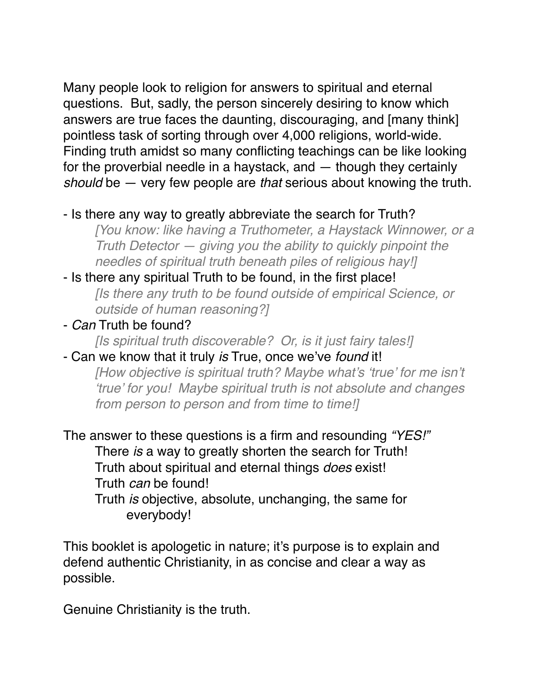Many people look to religion for answers to spiritual and eternal questions. But, sadly, the person sincerely desiring to know which answers are true faces the daunting, discouraging, and [many think] pointless task of sorting through over 4,000 religions, world-wide. Finding truth amidst so many conflicting teachings can be like looking for the proverbial needle in a haystack, and — though they certainly *should* be — very few people are *that* serious about knowing the truth.

#### - Is there any way to greatly abbreviate the search for Truth?

*[You know: like having a Truthometer, a Haystack Winnower, or a Truth Detector — giving you the ability to quickly pinpoint the needles of spiritual truth beneath piles of religious hay!]*

- Is there any spiritual Truth to be found, in the first place! *[Is there any truth to be found outside of empirical Science, or outside of human reasoning?]*

### - *Can* Truth be found?

*[Is spiritual truth discoverable? Or, is it just fairy tales!]*

#### - Can we know that it truly *is* True, once we've *found* it! *[How objective is spiritual truth? Maybe what's 'true' for me isn't*

*'true' for you! Maybe spiritual truth is not absolute and changes from person to person and from time to time!]*

The answer to these questions is a firm and resounding *"YES!"* There *is* a way to greatly shorten the search for Truth! Truth about spiritual and eternal things *does* exist! Truth *can* be found!

Truth *is* objective, absolute, unchanging, the same for everybody!

This booklet is apologetic in nature; it's purpose is to explain and defend authentic Christianity, in as concise and clear a way as possible.

Genuine Christianity is the truth.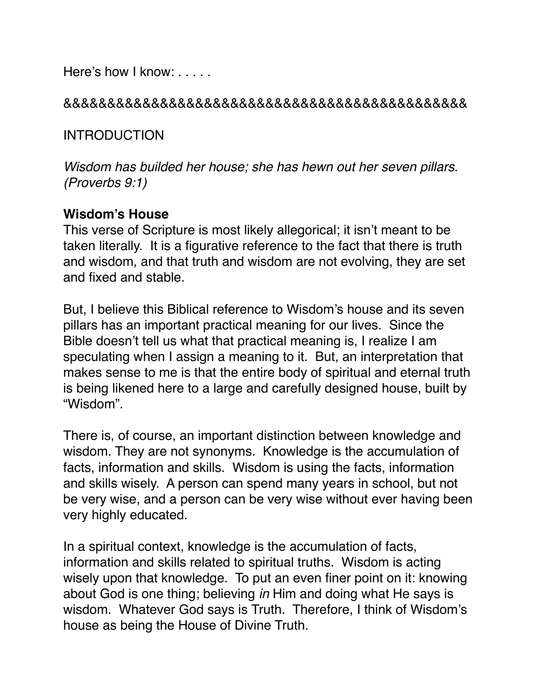Here's how I know: . . . . .

#### &&&&&&&&&&&&&&&&&&&&&&&&&&&&&&&&&&&&&&&&&&&&&&

INTRODUCTION

*Wisdom has builded her house; she has hewn out her seven pillars. (Proverbs 9:1)*

#### **Wisdom's House**

This verse of Scripture is most likely allegorical; it isn't meant to be taken literally. It is a figurative reference to the fact that there is truth and wisdom, and that truth and wisdom are not evolving, they are set and fixed and stable.

But, I believe this Biblical reference to Wisdom's house and its seven pillars has an important practical meaning for our lives. Since the Bible doesn't tell us what that practical meaning is, I realize I am speculating when I assign a meaning to it. But, an interpretation that makes sense to me is that the entire body of spiritual and eternal truth is being likened here to a large and carefully designed house, built by "Wisdom".

There is, of course, an important distinction between knowledge and wisdom. They are not synonyms. Knowledge is the accumulation of facts, information and skills. Wisdom is using the facts, information and skills wisely. A person can spend many years in school, but not be very wise, and a person can be very wise without ever having been very highly educated.

In a spiritual context, knowledge is the accumulation of facts, information and skills related to spiritual truths. Wisdom is acting wisely upon that knowledge. To put an even finer point on it: knowing about God is one thing; believing *in* Him and doing what He says is wisdom. Whatever God says is Truth. Therefore, I think of Wisdom's house as being the House of Divine Truth.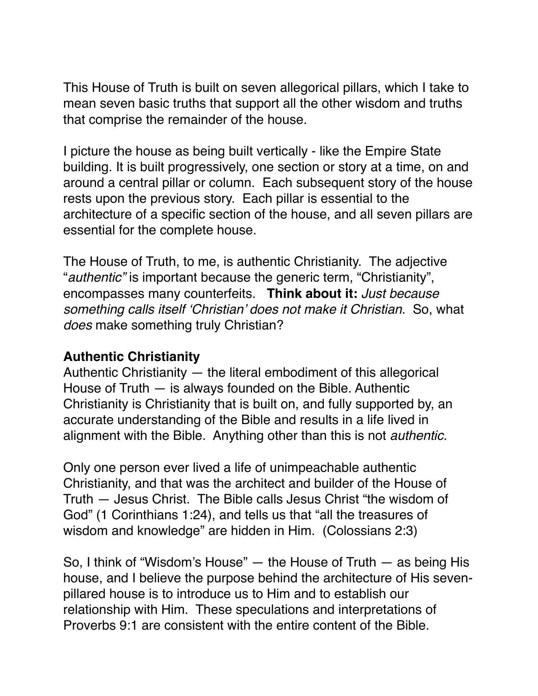This House of Truth is built on seven allegorical pillars, which I take to mean seven basic truths that support all the other wisdom and truths that comprise the remainder of the house.

I picture the house as being built vertically - like the Empire State building. It is built progressively, one section or story at a time, on and around a central pillar or column. Each subsequent story of the house rests upon the previous story. Each pillar is essential to the architecture of a specific section of the house, and all seven pillars are essential for the complete house.

The House of Truth, to me, is authentic Christianity. The adjective "*authentic"* is important because the generic term, "Christianity", encompasses many counterfeits. **Think about it:** *Just because something calls itself 'Christian' does not make it Christian.* So, what *does* make something truly Christian?

#### **Authentic Christianity**

Authentic Christianity — the literal embodiment of this allegorical House of Truth — is always founded on the Bible. Authentic Christianity is Christianity that is built on, and fully supported by, an accurate understanding of the Bible and results in a life lived in alignment with the Bible. Anything other than this is not *authentic.* 

Only one person ever lived a life of unimpeachable authentic Christianity, and that was the architect and builder of the House of Truth — Jesus Christ. The Bible calls Jesus Christ "the wisdom of God" (1 Corinthians 1:24), and tells us that "all the treasures of wisdom and knowledge" are hidden in Him. (Colossians 2:3)

So, I think of "Wisdom's House" — the House of Truth — as being His house, and I believe the purpose behind the architecture of His sevenpillared house is to introduce us to Him and to establish our relationship with Him. These speculations and interpretations of Proverbs 9:1 are consistent with the entire content of the Bible.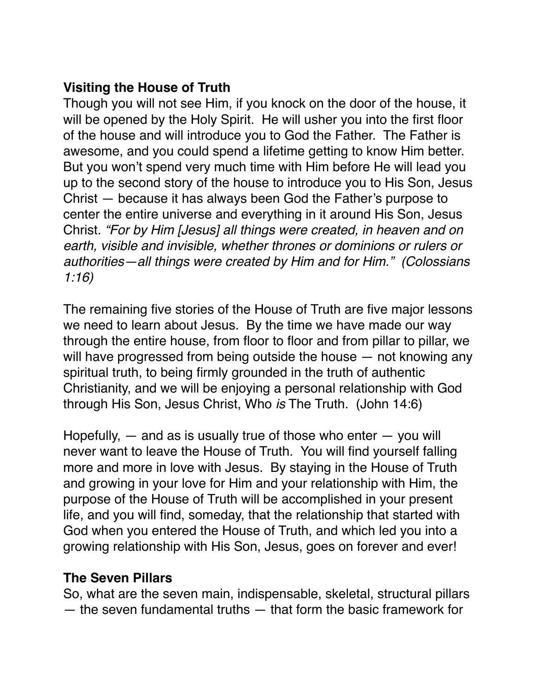### **Visiting the House of Truth**

Though you will not see Him, if you knock on the door of the house, it will be opened by the Holy Spirit. He will usher you into the first floor of the house and will introduce you to God the Father. The Father is awesome, and you could spend a lifetime getting to know Him better. But you won't spend very much time with Him before He will lead you up to the second story of the house to introduce you to His Son, Jesus Christ — because it has always been God the Father's purpose to center the entire universe and everything in it around His Son, Jesus Christ. *"For by Him [Jesus] all things were created, in heaven and on earth, visible and invisible, whether thrones or dominions or rulers or authorities—all things were created by Him and for Him." (Colossians 1:16)*

The remaining five stories of the House of Truth are five major lessons we need to learn about Jesus. By the time we have made our way through the entire house, from floor to floor and from pillar to pillar, we will have progressed from being outside the house  $-$  not knowing any spiritual truth, to being firmly grounded in the truth of authentic Christianity, and we will be enjoying a personal relationship with God through His Son, Jesus Christ, Who *is* The Truth. (John 14:6)

Hopefully,  $-$  and as is usually true of those who enter  $-$  you will never want to leave the House of Truth. You will find yourself falling more and more in love with Jesus. By staying in the House of Truth and growing in your love for Him and your relationship with Him, the purpose of the House of Truth will be accomplished in your present life, and you will find, someday, that the relationship that started with God when you entered the House of Truth, and which led you into a growing relationship with His Son, Jesus, goes on forever and ever!

#### **The Seven Pillars**

So, what are the seven main, indispensable, skeletal, structural pillars — the seven fundamental truths — that form the basic framework for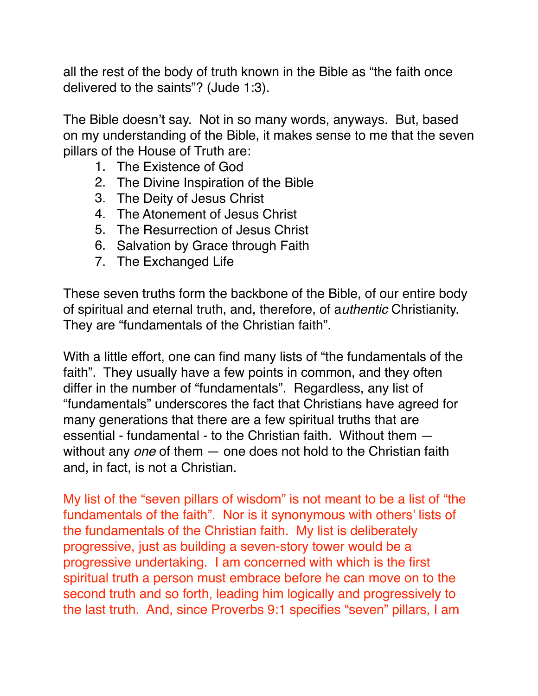all the rest of the body of truth known in the Bible as "the faith once delivered to the saints"? (Jude 1:3).

The Bible doesn't say. Not in so many words, anyways. But, based on my understanding of the Bible, it makes sense to me that the seven pillars of the House of Truth are:

- 1. The Existence of God
- 2. The Divine Inspiration of the Bible
- 3. The Deity of Jesus Christ
- 4. The Atonement of Jesus Christ
- 5. The Resurrection of Jesus Christ
- 6. Salvation by Grace through Faith
- 7. The Exchanged Life

These seven truths form the backbone of the Bible, of our entire body of spiritual and eternal truth, and, therefore, of a*uthentic* Christianity. They are "fundamentals of the Christian faith".

With a little effort, one can find many lists of "the fundamentals of the faith". They usually have a few points in common, and they often differ in the number of "fundamentals". Regardless, any list of "fundamentals" underscores the fact that Christians have agreed for many generations that there are a few spiritual truths that are essential - fundamental - to the Christian faith. Without them without any *one* of them — one does not hold to the Christian faith and, in fact, is not a Christian.

My list of the "seven pillars of wisdom" is not meant to be a list of "the fundamentals of the faith". Nor is it synonymous with others' lists of the fundamentals of the Christian faith. My list is deliberately progressive, just as building a seven-story tower would be a progressive undertaking. I am concerned with which is the first spiritual truth a person must embrace before he can move on to the second truth and so forth, leading him logically and progressively to the last truth. And, since Proverbs 9:1 specifies "seven" pillars, I am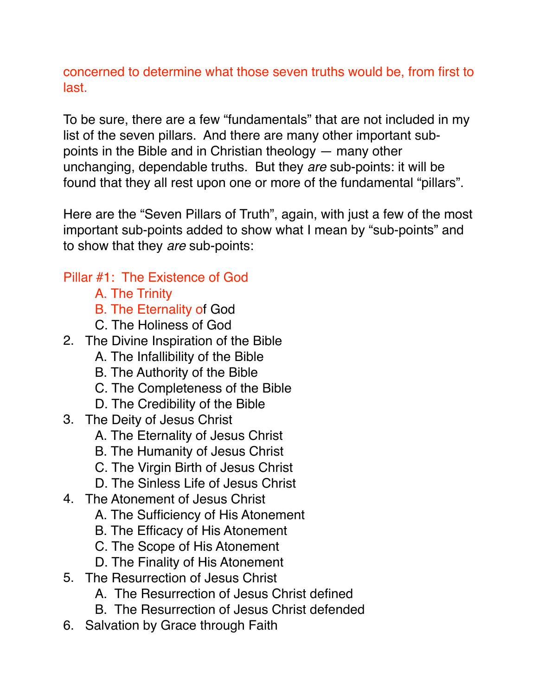concerned to determine what those seven truths would be, from first to last.

To be sure, there are a few "fundamentals" that are not included in my list of the seven pillars. And there are many other important subpoints in the Bible and in Christian theology — many other unchanging, dependable truths. But they *are* sub-points: it will be found that they all rest upon one or more of the fundamental "pillars".

Here are the "Seven Pillars of Truth", again, with just a few of the most important sub-points added to show what I mean by "sub-points" and to show that they *are* sub-points:

#### Pillar #1: The Existence of God

- A. The Trinity
- B. The Eternality of God
- C. The Holiness of God
- 2. The Divine Inspiration of the Bible
	- A. The Infallibility of the Bible
	- B. The Authority of the Bible
	- C. The Completeness of the Bible
	- D. The Credibility of the Bible
- 3. The Deity of Jesus Christ
	- A. The Eternality of Jesus Christ
	- B. The Humanity of Jesus Christ
	- C. The Virgin Birth of Jesus Christ
	- D. The Sinless Life of Jesus Christ
- 4. The Atonement of Jesus Christ
	- A. The Sufficiency of His Atonement
	- B. The Efficacy of His Atonement
	- C. The Scope of His Atonement
	- D. The Finality of His Atonement
- 5. The Resurrection of Jesus Christ
	- A. The Resurrection of Jesus Christ defined
	- B. The Resurrection of Jesus Christ defended
- 6. Salvation by Grace through Faith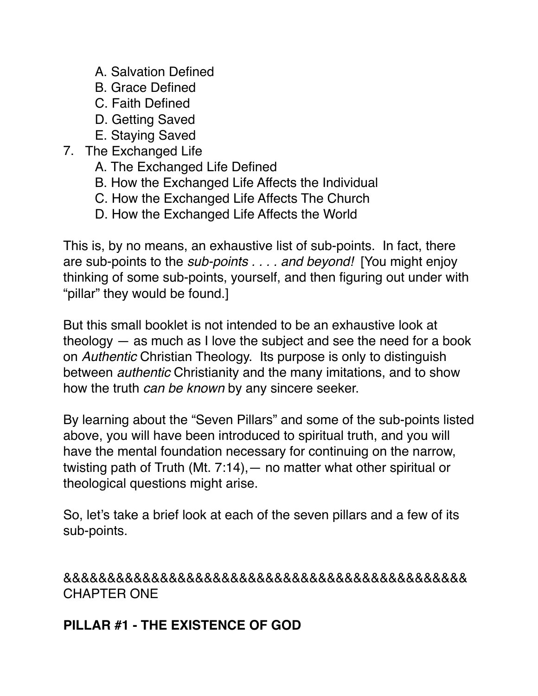- A. Salvation Defined
- B. Grace Defined
- C. Faith Defined
- D. Getting Saved
- E. Staying Saved
- 7. The Exchanged Life
	- A. The Exchanged Life Defined
	- B. How the Exchanged Life Affects the Individual
	- C. How the Exchanged Life Affects The Church
	- D. How the Exchanged Life Affects the World

This is, by no means, an exhaustive list of sub-points. In fact, there are sub-points to the *sub-points . . . . and beyond!* [You might enjoy thinking of some sub-points, yourself, and then figuring out under with "pillar" they would be found.]

But this small booklet is not intended to be an exhaustive look at theology — as much as I love the subject and see the need for a book on *Authentic* Christian Theology. Its purpose is only to distinguish between *authentic* Christianity and the many imitations, and to show how the truth *can be known* by any sincere seeker.

By learning about the "Seven Pillars" and some of the sub-points listed above, you will have been introduced to spiritual truth, and you will have the mental foundation necessary for continuing on the narrow, twisting path of Truth (Mt. 7:14),— no matter what other spiritual or theological questions might arise.

So, let's take a brief look at each of the seven pillars and a few of its sub-points.

&&&&&&&&&&&&&&&&&&&&&&&&&&&&&&&&&&&&&&&&&&&&&& CHAPTER ONE

#### **PILLAR #1 - THE EXISTENCE OF GOD**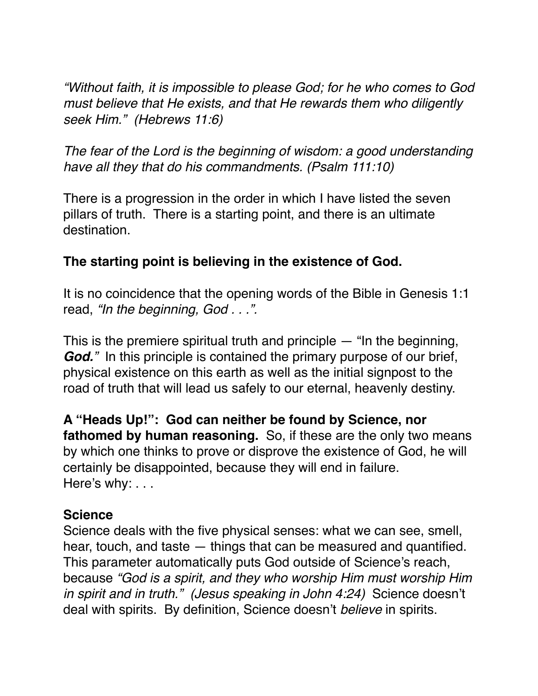*"Without faith, it is impossible to please God; for he who comes to God must believe that He exists, and that He rewards them who diligently seek Him." (Hebrews 11:6)*

*The fear of the Lord is the beginning of wisdom: a good understanding have all they that do his commandments. (Psalm 111:10)*

There is a progression in the order in which I have listed the seven pillars of truth. There is a starting point, and there is an ultimate destination.

#### **The starting point is believing in the existence of God.**

It is no coincidence that the opening words of the Bible in Genesis 1:1 read, *"In the beginning, God . . .".*

This is the premiere spiritual truth and principle  $-$  "In the beginning, *God.*" In this principle is contained the primary purpose of our brief, physical existence on this earth as well as the initial signpost to the road of truth that will lead us safely to our eternal, heavenly destiny.

**A "Heads Up!": God can neither be found by Science, nor fathomed by human reasoning.** So, if these are the only two means by which one thinks to prove or disprove the existence of God, he will certainly be disappointed, because they will end in failure. Here's why: . . .

#### **Science**

Science deals with the five physical senses: what we can see, smell, hear, touch, and taste — things that can be measured and quantified. This parameter automatically puts God outside of Science's reach, because *"God is a spirit, and they who worship Him must worship Him in spirit and in truth." (Jesus speaking in John 4:24)* Science doesn't deal with spirits. By definition, Science doesn't *believe* in spirits.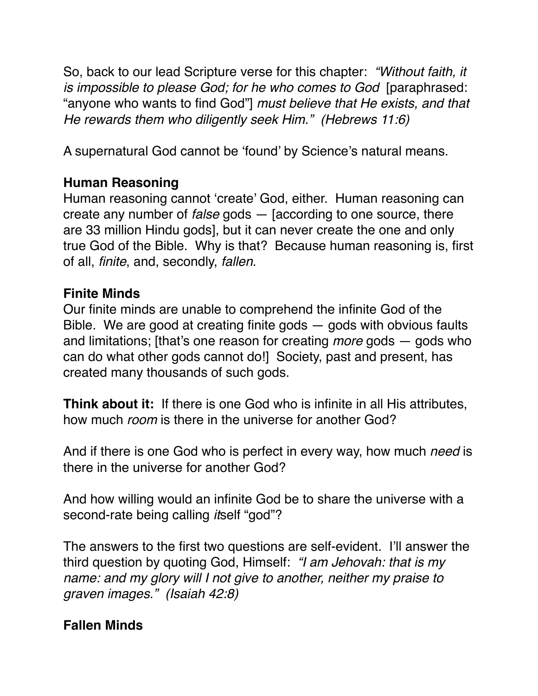So, back to our lead Scripture verse for this chapter: *"Without faith, it is impossible to please God; for he who comes to God* [paraphrased: "anyone who wants to find God"] *must believe that He exists, and that He rewards them who diligently seek Him." (Hebrews 11:6)*

A supernatural God cannot be 'found' by Science's natural means.

### **Human Reasoning**

Human reasoning cannot 'create' God, either. Human reasoning can create any number of *false* gods — [according to one source, there are 33 million Hindu gods], but it can never create the one and only true God of the Bible. Why is that? Because human reasoning is, first of all, *finite*, and, secondly, *fallen*.

#### **Finite Minds**

Our finite minds are unable to comprehend the infinite God of the Bible. We are good at creating finite gods  $-$  gods with obvious faults and limitations; [that's one reason for creating *more* gods — gods who can do what other gods cannot do!] Society, past and present, has created many thousands of such gods.

**Think about it:** If there is one God who is infinite in all His attributes, how much *room* is there in the universe for another God?

And if there is one God who is perfect in every way, how much *need* is there in the universe for another God?

And how willing would an infinite God be to share the universe with a second-rate being calling *it*self "god"?

The answers to the first two questions are self-evident. I'll answer the third question by quoting God, Himself: *"I am Jehovah: that is my name: and my glory will I not give to another, neither my praise to graven images." (Isaiah 42:8)*

### **Fallen Minds**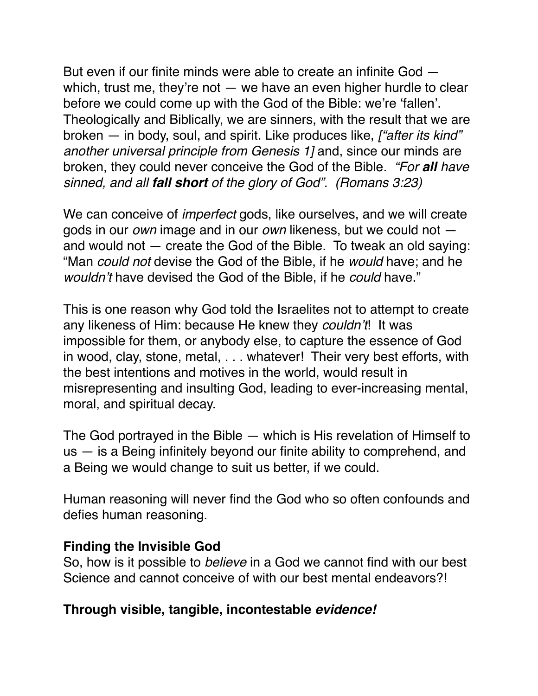But even if our finite minds were able to create an infinite God which, trust me, they're not  $-$  we have an even higher hurdle to clear before we could come up with the God of the Bible: we're 'fallen'. Theologically and Biblically, we are sinners, with the result that we are broken — in body, soul, and spirit. Like produces like, *["after its kind" another universal principle from Genesis 1]* and, since our minds are broken, they could never conceive the God of the Bible. *"For all have sinned, and all fall short of the glory of God". (Romans 3:23)*

We can conceive of *imperfect* gods, like ourselves, and we will create gods in our *own* image and in our *own* likeness, but we could not and would not — create the God of the Bible. To tweak an old saying: "Man *could not* devise the God of the Bible, if he *would* have; and he *wouldn't* have devised the God of the Bible, if he *could* have."

This is one reason why God told the Israelites not to attempt to create any likeness of Him: because He knew they *couldn't*! It was impossible for them, or anybody else, to capture the essence of God in wood, clay, stone, metal, . . . whatever! Their very best efforts, with the best intentions and motives in the world, would result in misrepresenting and insulting God, leading to ever-increasing mental, moral, and spiritual decay.

The God portrayed in the Bible — which is His revelation of Himself to us — is a Being infinitely beyond our finite ability to comprehend, and a Being we would change to suit us better, if we could.

Human reasoning will never find the God who so often confounds and defies human reasoning.

#### **Finding the Invisible God**

So, how is it possible to *believe* in a God we cannot find with our best Science and cannot conceive of with our best mental endeavors?!

#### **Through visible, tangible, incontestable** *evidence!*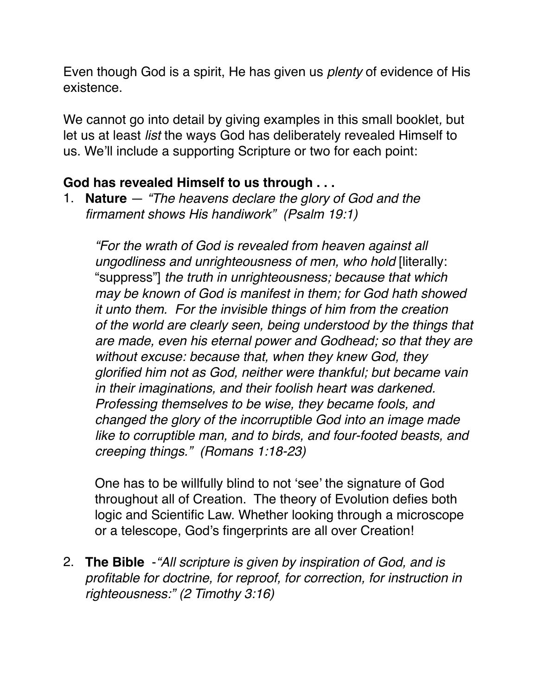Even though God is a spirit, He has given us *plenty* of evidence of His existence.

We cannot go into detail by giving examples in this small booklet*,* but let us at least *list* the ways God has deliberately revealed Himself to us. We'll include a supporting Scripture or two for each point:

### **God has revealed Himself to us through . . .**

1. **Nature** — *"The heavens declare the glory of God and the firmament shows His handiwork" (Psalm 19:1)*

*"For the wrath of God is revealed from heaven against all ungodliness and unrighteousness of men, who hold* [literally: "suppress"] *the truth in unrighteousness; because that which may be known of God is manifest in them; for God hath showed it unto them. For the invisible things of him from the creation of the world are clearly seen, being understood by the things that are made, even his eternal power and Godhead; so that they are without excuse: because that, when they knew God, they glorified him not as God, neither were thankful; but became vain in their imaginations, and their foolish heart was darkened. Professing themselves to be wise, they became fools, and changed the glory of the incorruptible God into an image made like to corruptible man, and to birds, and four-footed beasts, and creeping things." (Romans 1:18-23)* 

One has to be willfully blind to not 'see' the signature of God throughout all of Creation. The theory of Evolution defies both logic and Scientific Law. Whether looking through a microscope or a telescope, God's fingerprints are all over Creation!

2. **The Bible** -*"All scripture is given by inspiration of God, and is profitable for doctrine, for reproof, for correction, for instruction in righteousness:" (2 Timothy 3:16)*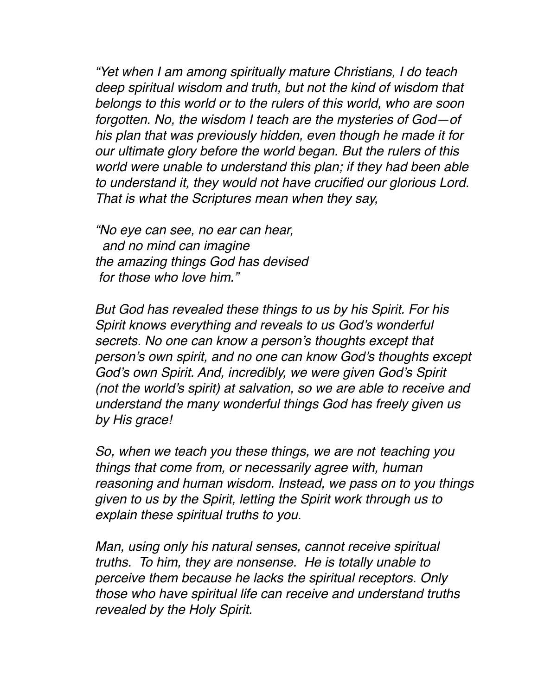*"Yet when I am among spiritually mature Christians, I do teach deep spiritual wisdom and truth, but not the kind of wisdom that belongs to this world or to the rulers of this world, who are soon forgotten. No, the wisdom I teach are the mysteries of God—of his plan that was previously hidden, even though he made it for our ultimate glory before the world began. But the rulers of this world were unable to understand this plan; if they had been able to understand it, they would not have crucified our glorious Lord. That is what the Scriptures mean when they say,*

*"No eye can see, no ear can hear, and no mind can imagine the amazing things God has devised for those who love him."*

*But God has revealed these things to us by his Spirit. For his Spirit knows everything and reveals to us God's wonderful secrets. No one can know a person's thoughts except that person's own spirit, and no one can know God's thoughts except God's own Spirit. And, incredibly, we were given God's Spirit (not the world's spirit) at salvation, so we are able to receive and understand the many wonderful things God has freely given us by His grace!* 

*So, when we teach you these things, we are not teaching you things that come from, or necessarily agree with, human reasoning and human wisdom. Instead, we pass on to you things given to us by the Spirit, letting the Spirit work through us to explain these spiritual truths to you.* 

*Man, using only his natural senses, cannot receive spiritual truths. To him, they are nonsense. He is totally unable to perceive them because he lacks the spiritual receptors. Only those who have spiritual life can receive and understand truths revealed by the Holy Spirit.*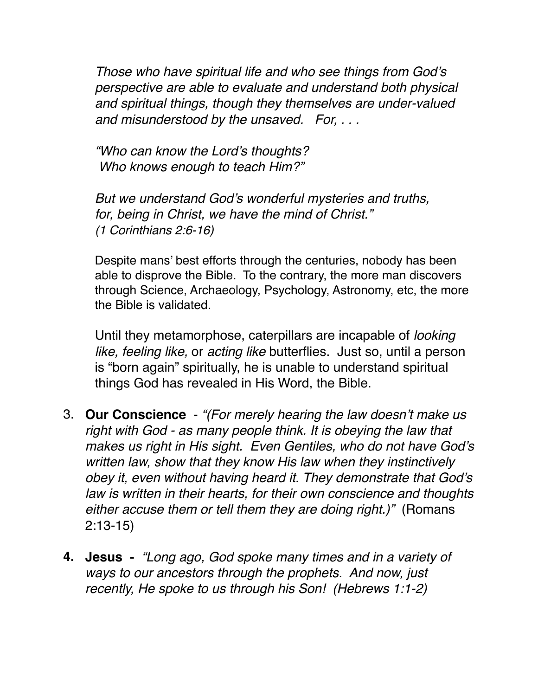*Those who have spiritual life and who see things from God's perspective are able to evaluate and understand both physical and spiritual things, though they themselves are under-valued and misunderstood by the unsaved. For, . . .*

*"Who can know the Lord's thoughts? Who knows enough to teach Him?"*

*But we understand God's wonderful mysteries and truths, for, being in Christ, we have the mind of Christ." (1 Corinthians 2:6-16)*

Despite mans' best efforts through the centuries, nobody has been able to disprove the Bible. To the contrary, the more man discovers through Science, Archaeology, Psychology, Astronomy, etc, the more the Bible is validated.

Until they metamorphose, caterpillars are incapable of *looking like, feeling like,* or *acting like* butterflies. Just so, until a person is "born again" spiritually, he is unable to understand spiritual things God has revealed in His Word, the Bible.

- 3. **Our Conscience** *"(For merely hearing the law doesn't make us right with God - as many people think. It is obeying the law that makes us right in His sight. Even Gentiles, who do not have God's written law, show that they know His law when they instinctively obey it, even without having heard it. They demonstrate that God's law is written in their hearts, for their own conscience and thoughts either accuse them or tell them they are doing right.)"* (Romans 2:13-15)
- **4. Jesus** *"Long ago, God spoke many times and in a variety of ways to our ancestors through the prophets. And now, just recently, He spoke to us through his Son! (Hebrews 1:1-2)*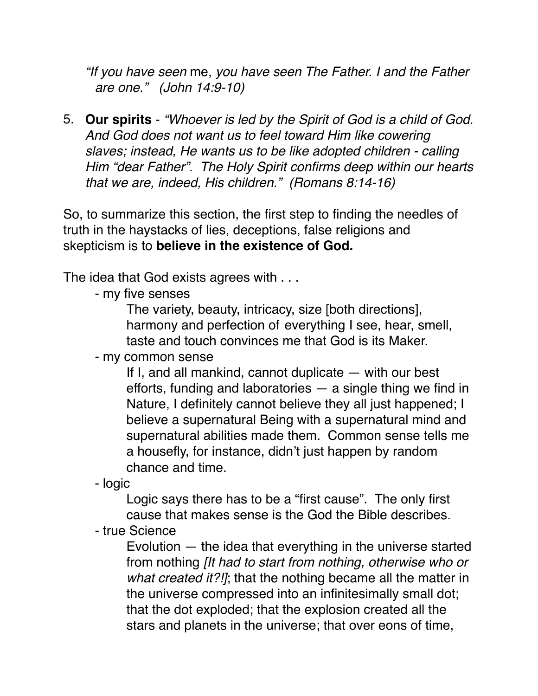*"If you have seen* me, *you have seen The Father. I and the Father are one." (John 14:9-10)*

5. **Our spirits** - *"Whoever is led by the Spirit of God is a child of God. And God does not want us to feel toward Him like cowering slaves; instead, He wants us to be like adopted children - calling Him "dear Father". The Holy Spirit confirms deep within our hearts that we are, indeed, His children." (Romans 8:14-16)*

So, to summarize this section, the first step to finding the needles of truth in the haystacks of lies, deceptions, false religions and skepticism is to **believe in the existence of God.**

The idea that God exists agrees with . . .

- my five senses

The variety, beauty, intricacy, size [both directions], harmony and perfection of everything I see, hear, smell, taste and touch convinces me that God is its Maker.

- my common sense

If I, and all mankind, cannot duplicate — with our best efforts, funding and laboratories — a single thing we find in Nature, I definitely cannot believe they all just happened; I believe a supernatural Being with a supernatural mind and supernatural abilities made them. Common sense tells me a housefly, for instance, didn't just happen by random chance and time.

- logic

Logic says there has to be a "first cause". The only first cause that makes sense is the God the Bible describes.

- true Science

Evolution — the idea that everything in the universe started from nothing *[It had to start from nothing, otherwise who or what created it?!]*; that the nothing became all the matter in the universe compressed into an infinitesimally small dot; that the dot exploded; that the explosion created all the stars and planets in the universe; that over eons of time,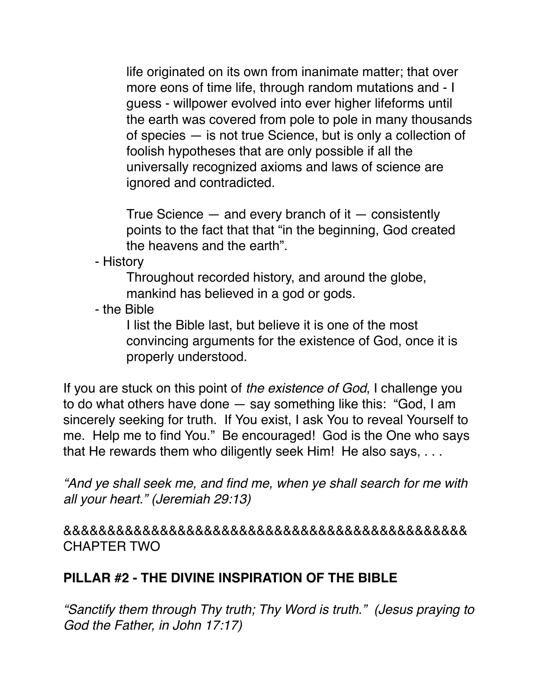life originated on its own from inanimate matter; that over more eons of time life, through random mutations and - I guess - willpower evolved into ever higher lifeforms until the earth was covered from pole to pole in many thousands of species — is not true Science, but is only a collection of foolish hypotheses that are only possible if all the universally recognized axioms and laws of science are ignored and contradicted.

True Science  $-$  and every branch of it  $-$  consistently points to the fact that that "in the beginning, God created the heavens and the earth".

- History

Throughout recorded history, and around the globe, mankind has believed in a god or gods.

- the Bible

I list the Bible last, but believe it is one of the most convincing arguments for the existence of God, once it is properly understood.

If you are stuck on this point of *the existence of God*, I challenge you to do what others have done — say something like this: "God, I am sincerely seeking for truth. If You exist, I ask You to reveal Yourself to me. Help me to find You." Be encouraged! God is the One who says that He rewards them who diligently seek Him! He also says, . . .

*"And ye shall seek me, and find me, when ye shall search for me with all your heart." (Jeremiah 29:13)*

&&&&&&&&&&&&&&&&&&&&&&&&&&&&&&&&&&&&&&&&&&&&&& CHAPTER TWO

### **PILLAR #2 - THE DIVINE INSPIRATION OF THE BIBLE**

*"Sanctify them through Thy truth; Thy Word is truth." (Jesus praying to God the Father, in John 17:17)*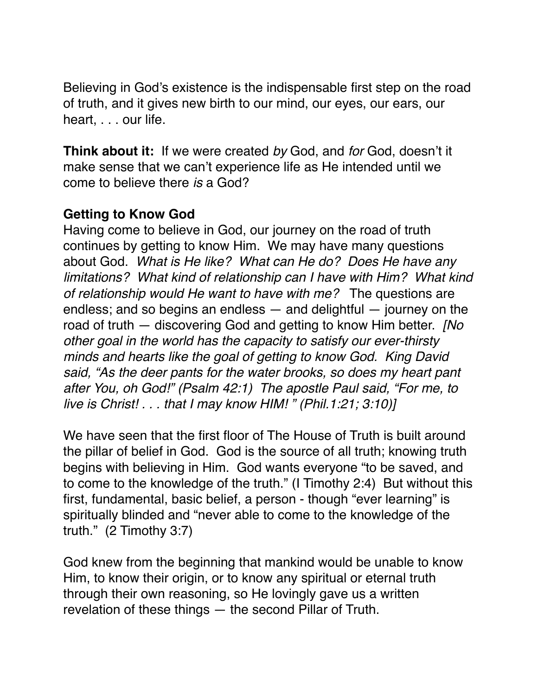Believing in God's existence is the indispensable first step on the road of truth, and it gives new birth to our mind, our eyes, our ears, our heart, . . . our life.

**Think about it:** If we were created *by* God, and *for* God, doesn't it make sense that we can't experience life as He intended until we come to believe there *is* a God?

#### **Getting to Know God**

Having come to believe in God, our journey on the road of truth continues by getting to know Him. We may have many questions about God. *What is He like? What can He do? Does He have any limitations? What kind of relationship can I have with Him? What kind of relationship would He want to have with me?* The questions are endless; and so begins an endless — and delightful — journey on the road of truth — discovering God and getting to know Him better. *[No other goal in the world has the capacity to satisfy our ever-thirsty minds and hearts like the goal of getting to know God. King David said, "As the deer pants for the water brooks, so does my heart pant after You, oh God!" (Psalm 42:1) The apostle Paul said, "For me, to live is Christ! . . . that I may know HIM! " (Phil.1:21; 3:10)]*

We have seen that the first floor of The House of Truth is built around the pillar of belief in God. God is the source of all truth; knowing truth begins with believing in Him. God wants everyone "to be saved, and to come to the knowledge of the truth." (I Timothy 2:4) But without this first, fundamental, basic belief, a person - though "ever learning" is spiritually blinded and "never able to come to the knowledge of the truth." (2 Timothy 3:7)

God knew from the beginning that mankind would be unable to know Him, to know their origin, or to know any spiritual or eternal truth through their own reasoning, so He lovingly gave us a written revelation of these things — the second Pillar of Truth.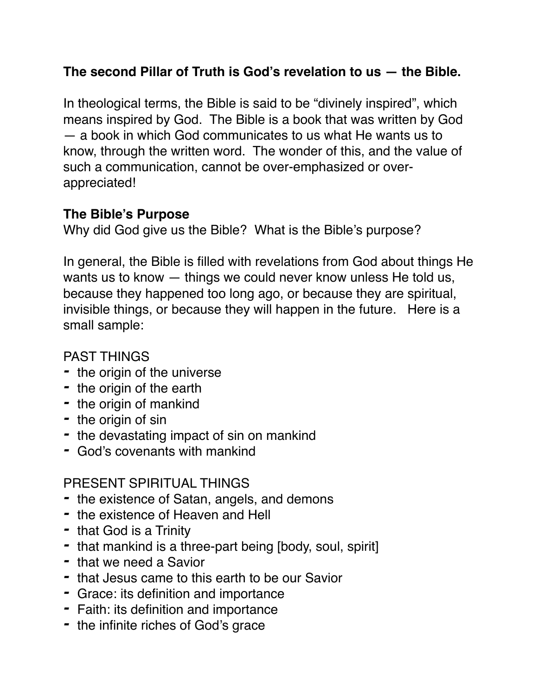### **The second Pillar of Truth is God's revelation to us — the Bible.**

In theological terms, the Bible is said to be "divinely inspired", which means inspired by God. The Bible is a book that was written by God — a book in which God communicates to us what He wants us to know, through the written word. The wonder of this, and the value of such a communication, cannot be over-emphasized or overappreciated!

### **The Bible's Purpose**

Why did God give us the Bible? What is the Bible's purpose?

In general, the Bible is filled with revelations from God about things He wants us to know — things we could never know unless He told us, because they happened too long ago, or because they are spiritual, invisible things, or because they will happen in the future. Here is a small sample:

### PAST THINGS

- *-* the origin of the universe
- *-* the origin of the earth
- *-* the origin of mankind
- *-* the origin of sin
- *-* the devastating impact of sin on mankind
- *-* God's covenants with mankind

### PRESENT SPIRITUAL THINGS

- *-* the existence of Satan, angels, and demons
- *-* the existence of Heaven and Hell
- *-* that God is a Trinity
- *-* that mankind is a three-part being [body, soul, spirit]
- *-* that we need a Savior
- *-* that Jesus came to this earth to be our Savior
- *-* Grace: its definition and importance
- *-* Faith: its definition and importance
- *-* the infinite riches of God's grace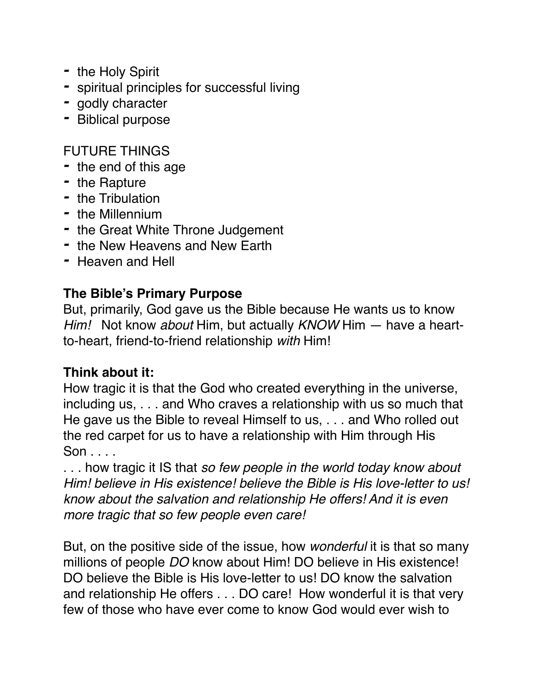- *-* the Holy Spirit
- *-* spiritual principles for successful living
- *-* godly character
- *-* Biblical purpose

### FUTURE THINGS

- *-* the end of this age
- *-* the Rapture
- *-* the Tribulation
- *-* the Millennium
- *-* the Great White Throne Judgement
- *-* the New Heavens and New Earth
- *-* Heaven and Hell

#### **The Bible's Primary Purpose**

But, primarily, God gave us the Bible because He wants us to know *Him!* Not know *about* Him, but actually *KNOW* Him — have a heartto-heart, friend-to-friend relationship *with* Him!

### **Think about it:**

How tragic it is that the God who created everything in the universe, including us, . . . and Who craves a relationship with us so much that He gave us the Bible to reveal Himself to us, . . . and Who rolled out the red carpet for us to have a relationship with Him through His Son . . . .

. . . how tragic it IS that *so few people in the world today know about Him! believe in His existence! believe the Bible is His love-letter to us! know about the salvation and relationship He offers! And it is even more tragic that so few people even care!*

But, on the positive side of the issue, how *wonderful* it is that so many millions of people *DO* know about Him! DO believe in His existence! DO believe the Bible is His love-letter to us! DO know the salvation and relationship He offers . . . DO care! How wonderful it is that very few of those who have ever come to know God would ever wish to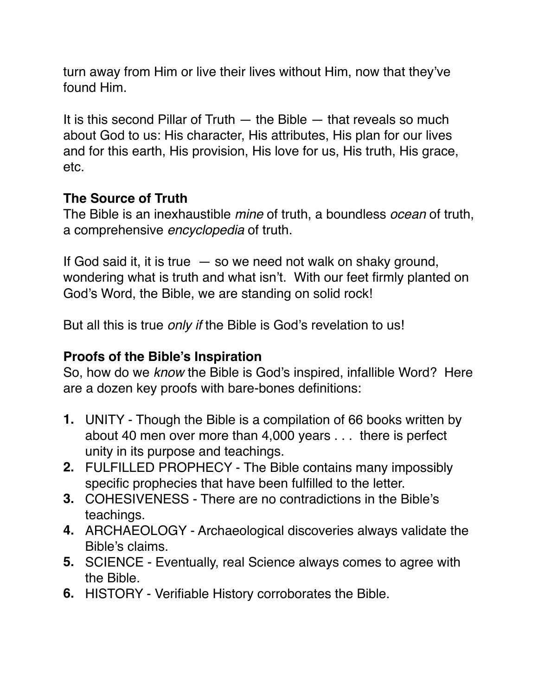turn away from Him or live their lives without Him, now that they've found Him.

It is this second Pillar of Truth  $-$  the Bible  $-$  that reveals so much about God to us: His character, His attributes, His plan for our lives and for this earth, His provision, His love for us, His truth, His grace, etc.

### **The Source of Truth**

The Bible is an inexhaustible *mine* of truth, a boundless *ocean* of truth, a comprehensive *encyclopedia* of truth.

If God said it, it is true  $-$  so we need not walk on shaky ground, wondering what is truth and what isn't. With our feet firmly planted on God's Word, the Bible, we are standing on solid rock!

But all this is true *only if* the Bible is God's revelation to us!

### **Proofs of the Bible's Inspiration**

So, how do we *know* the Bible is God's inspired, infallible Word? Here are a dozen key proofs with bare-bones definitions:

- **1.** UNITY Though the Bible is a compilation of 66 books written by about 40 men over more than 4,000 years . . . there is perfect unity in its purpose and teachings.
- **2.** FULFILLED PROPHECY The Bible contains many impossibly specific prophecies that have been fulfilled to the letter.
- **3.** COHESIVENESS There are no contradictions in the Bible's teachings.
- **4.** ARCHAEOLOGY Archaeological discoveries always validate the Bible's claims.
- **5.** SCIENCE Eventually, real Science always comes to agree with the Bible.
- **6.** HISTORY Verifiable History corroborates the Bible.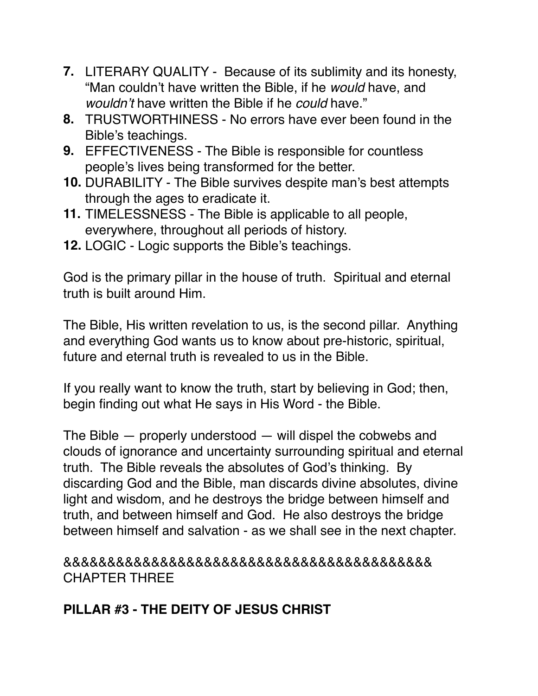- **7.** LITERARY QUALITY Because of its sublimity and its honesty, "Man couldn't have written the Bible, if he *would* have, and *wouldn't* have written the Bible if he *could* have."
- **8.** TRUSTWORTHINESS No errors have ever been found in the Bible's teachings.
- **9.** EFFECTIVENESS The Bible is responsible for countless people's lives being transformed for the better.
- **10.** DURABILITY The Bible survives despite man's best attempts through the ages to eradicate it.
- **11.** TIMELESSNESS The Bible is applicable to all people, everywhere, throughout all periods of history.
- **12.** LOGIC Logic supports the Bible's teachings.

God is the primary pillar in the house of truth. Spiritual and eternal truth is built around Him.

The Bible, His written revelation to us, is the second pillar. Anything and everything God wants us to know about pre-historic, spiritual, future and eternal truth is revealed to us in the Bible.

If you really want to know the truth, start by believing in God; then, begin finding out what He says in His Word - the Bible.

The Bible — properly understood — will dispel the cobwebs and clouds of ignorance and uncertainty surrounding spiritual and eternal truth. The Bible reveals the absolutes of God's thinking. By discarding God and the Bible, man discards divine absolutes, divine light and wisdom, and he destroys the bridge between himself and truth, and between himself and God. He also destroys the bridge between himself and salvation - as we shall see in the next chapter.

&&&&&&&&&&&&&&&&&&&&&&&&&&&&&&&&&&&&&&&&&& CHAPTER THREE

### **PILLAR #3 - THE DEITY OF JESUS CHRIST**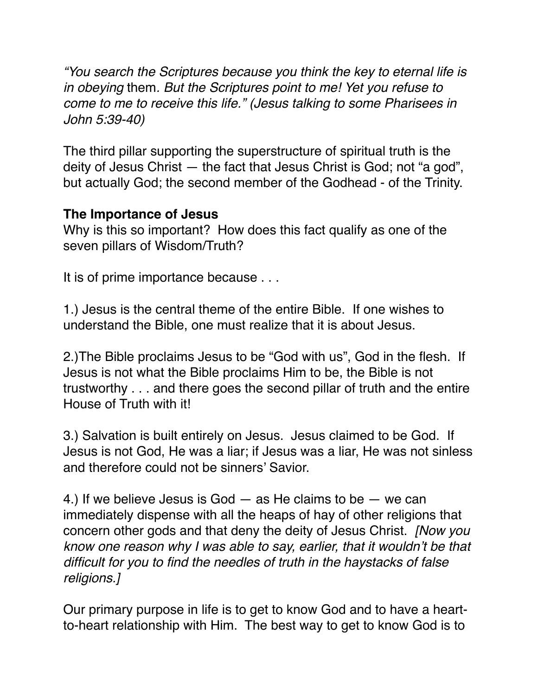*"You search the Scriptures because you think the key to eternal life is in obeying* them*. But the Scriptures point to me! Yet you refuse to come to me to receive this life." (Jesus talking to some Pharisees in John 5:39-40)* 

The third pillar supporting the superstructure of spiritual truth is the deity of Jesus Christ — the fact that Jesus Christ is God; not "a god", but actually God; the second member of the Godhead - of the Trinity.

#### **The Importance of Jesus**

Why is this so important? How does this fact qualify as one of the seven pillars of Wisdom/Truth?

It is of prime importance because . . .

1.) Jesus is the central theme of the entire Bible. If one wishes to understand the Bible, one must realize that it is about Jesus.

2.)The Bible proclaims Jesus to be "God with us", God in the flesh. If Jesus is not what the Bible proclaims Him to be, the Bible is not trustworthy . . . and there goes the second pillar of truth and the entire House of Truth with it!

3.) Salvation is built entirely on Jesus. Jesus claimed to be God. If Jesus is not God, He was a liar; if Jesus was a liar, He was not sinless and therefore could not be sinners' Savior.

4.) If we believe Jesus is God  $-$  as He claims to be  $-$  we can immediately dispense with all the heaps of hay of other religions that concern other gods and that deny the deity of Jesus Christ. *[Now you know one reason why I was able to say, earlier, that it wouldn't be that difficult for you to find the needles of truth in the haystacks of false religions.]*

Our primary purpose in life is to get to know God and to have a heartto-heart relationship with Him. The best way to get to know God is to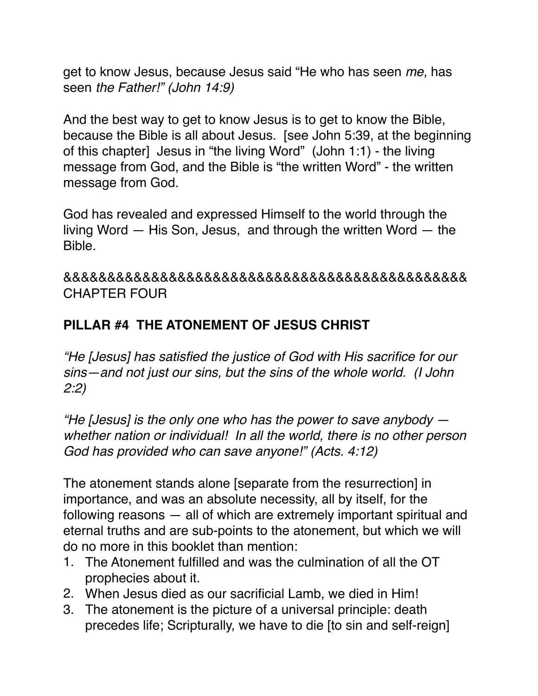get to know Jesus, because Jesus said "He who has seen *me,* has seen *the Father!" (John 14:9)*

And the best way to get to know Jesus is to get to know the Bible, because the Bible is all about Jesus. [see John 5:39, at the beginning of this chapter] Jesus in "the living Word" (John 1:1) - the living message from God, and the Bible is "the written Word" - the written message from God.

God has revealed and expressed Himself to the world through the living Word — His Son, Jesus, and through the written Word — the Bible.

&&&&&&&&&&&&&&&&&&&&&&&&&&&&&&&&&&&&&&&&&&&&&& CHAPTER FOUR

### **PILLAR #4 THE ATONEMENT OF JESUS CHRIST**

*"He [Jesus] has satisfied the justice of God with His sacrifice for our sins—and not just our sins, but the sins of the whole world. (I John 2:2)*

*"He [Jesus] is the only one who has the power to save anybody whether nation or individual! In all the world, there is no other person God has provided who can save anyone!" (Acts. 4:12)*

The atonement stands alone [separate from the resurrection] in importance, and was an absolute necessity, all by itself, for the following reasons — all of which are extremely important spiritual and eternal truths and are sub-points to the atonement, but which we will do no more in this booklet than mention:

- 1. The Atonement fulfilled and was the culmination of all the OT prophecies about it.
- 2. When Jesus died as our sacrificial Lamb, we died in Him!
- 3. The atonement is the picture of a universal principle: death precedes life; Scripturally, we have to die [to sin and self-reign]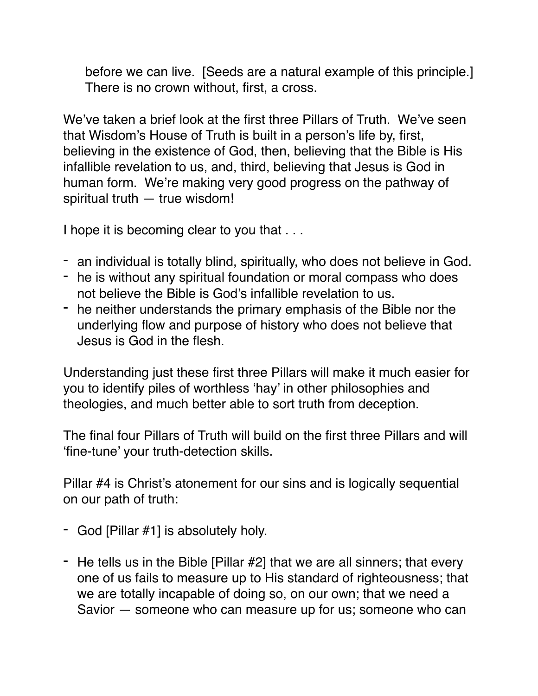before we can live. [Seeds are a natural example of this principle.] There is no crown without, first, a cross.

We've taken a brief look at the first three Pillars of Truth. We've seen that Wisdom's House of Truth is built in a person's life by, first, believing in the existence of God, then, believing that the Bible is His infallible revelation to us, and, third, believing that Jesus is God in human form. We're making very good progress on the pathway of spiritual truth — true wisdom!

I hope it is becoming clear to you that . . .

- an individual is totally blind, spiritually, who does not believe in God.
- he is without any spiritual foundation or moral compass who does not believe the Bible is God's infallible revelation to us.
- he neither understands the primary emphasis of the Bible nor the underlying flow and purpose of history who does not believe that Jesus is God in the flesh.

Understanding just these first three Pillars will make it much easier for you to identify piles of worthless 'hay' in other philosophies and theologies, and much better able to sort truth from deception.

The final four Pillars of Truth will build on the first three Pillars and will 'fine-tune' your truth-detection skills.

Pillar #4 is Christ's atonement for our sins and is logically sequential on our path of truth:

- God [Pillar #1] is absolutely holy.
- He tells us in the Bible [Pillar #2] that we are all sinners; that every one of us fails to measure up to His standard of righteousness; that we are totally incapable of doing so, on our own; that we need a Savior — someone who can measure up for us; someone who can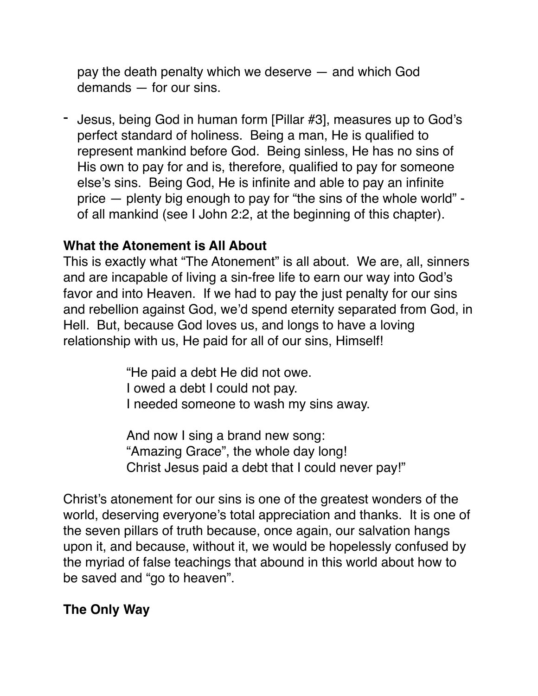pay the death penalty which we deserve — and which God demands — for our sins.

- Jesus, being God in human form [Pillar #3], measures up to God's perfect standard of holiness. Being a man, He is qualified to represent mankind before God. Being sinless, He has no sins of His own to pay for and is, therefore, qualified to pay for someone else's sins. Being God, He is infinite and able to pay an infinite price — plenty big enough to pay for "the sins of the whole world" of all mankind (see I John 2:2, at the beginning of this chapter).

#### **What the Atonement is All About**

This is exactly what "The Atonement" is all about. We are, all, sinners and are incapable of living a sin-free life to earn our way into God's favor and into Heaven. If we had to pay the just penalty for our sins and rebellion against God, we'd spend eternity separated from God, in Hell. But, because God loves us, and longs to have a loving relationship with us, He paid for all of our sins, Himself!

> "He paid a debt He did not owe. I owed a debt I could not pay. I needed someone to wash my sins away.

And now I sing a brand new song: "Amazing Grace", the whole day long! Christ Jesus paid a debt that I could never pay!"

Christ's atonement for our sins is one of the greatest wonders of the world, deserving everyone's total appreciation and thanks. It is one of the seven pillars of truth because, once again, our salvation hangs upon it, and because, without it, we would be hopelessly confused by the myriad of false teachings that abound in this world about how to be saved and "go to heaven".

#### **The Only Way**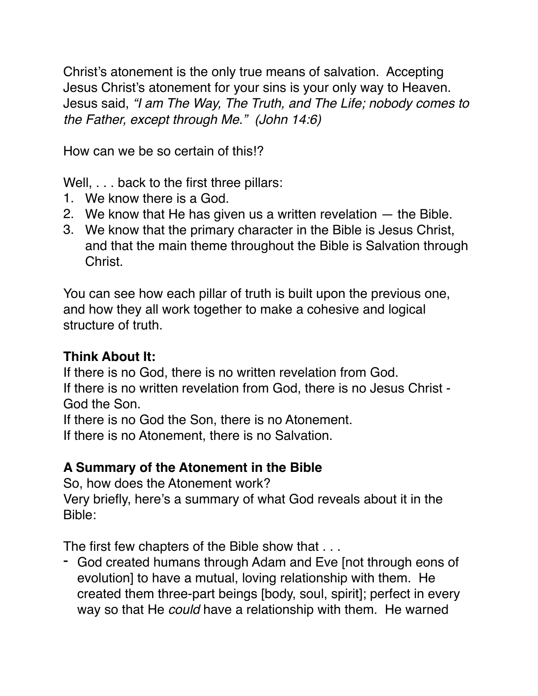Christ's atonement is the only true means of salvation. Accepting Jesus Christ's atonement for your sins is your only way to Heaven. Jesus said, *"I am The Way, The Truth, and The Life; nobody comes to the Father, except through Me." (John 14:6)*

How can we be so certain of this!?

Well, . . . back to the first three pillars:

- 1. We know there is a God.
- 2. We know that He has given us a written revelation the Bible.
- 3. We know that the primary character in the Bible is Jesus Christ, and that the main theme throughout the Bible is Salvation through Christ.

You can see how each pillar of truth is built upon the previous one, and how they all work together to make a cohesive and logical structure of truth.

#### **Think About It:**

If there is no God, there is no written revelation from God. If there is no written revelation from God, there is no Jesus Christ -

God the Son.

If there is no God the Son, there is no Atonement.

If there is no Atonement, there is no Salvation.

### **A Summary of the Atonement in the Bible**

So, how does the Atonement work? Very briefly, here's a summary of what God reveals about it in the Bible:

The first few chapters of the Bible show that . . .

- God created humans through Adam and Eve [not through eons of evolution] to have a mutual, loving relationship with them. He created them three-part beings [body, soul, spirit]; perfect in every way so that He *could* have a relationship with them. He warned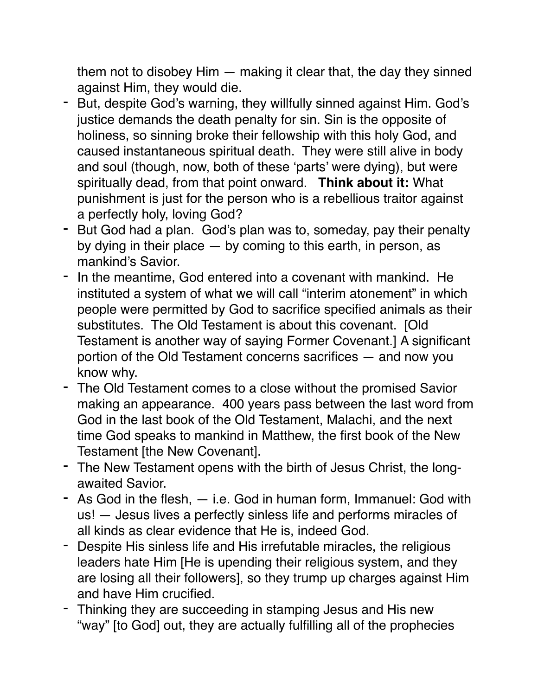them not to disobey Him — making it clear that, the day they sinned against Him, they would die.

- But, despite God's warning, they willfully sinned against Him. God's justice demands the death penalty for sin. Sin is the opposite of holiness, so sinning broke their fellowship with this holy God, and caused instantaneous spiritual death. They were still alive in body and soul (though, now, both of these 'parts' were dying), but were spiritually dead, from that point onward. **Think about it:** What punishment is just for the person who is a rebellious traitor against a perfectly holy, loving God?
- But God had a plan. God's plan was to, someday, pay their penalty by dying in their place — by coming to this earth, in person, as mankind's Savior.
- In the meantime, God entered into a covenant with mankind. He instituted a system of what we will call "interim atonement" in which people were permitted by God to sacrifice specified animals as their substitutes. The Old Testament is about this covenant. [Old Testament is another way of saying Former Covenant.] A significant portion of the Old Testament concerns sacrifices — and now you know why.
- The Old Testament comes to a close without the promised Savior making an appearance. 400 years pass between the last word from God in the last book of the Old Testament, Malachi, and the next time God speaks to mankind in Matthew, the first book of the New Testament [the New Covenant].
- The New Testament opens with the birth of Jesus Christ, the longawaited Savior.
- As God in the flesh, i.e. God in human form, Immanuel: God with us! — Jesus lives a perfectly sinless life and performs miracles of all kinds as clear evidence that He is, indeed God.
- Despite His sinless life and His irrefutable miracles, the religious leaders hate Him [He is upending their religious system, and they are losing all their followers], so they trump up charges against Him and have Him crucified.
- Thinking they are succeeding in stamping Jesus and His new "way" [to God] out, they are actually fulfilling all of the prophecies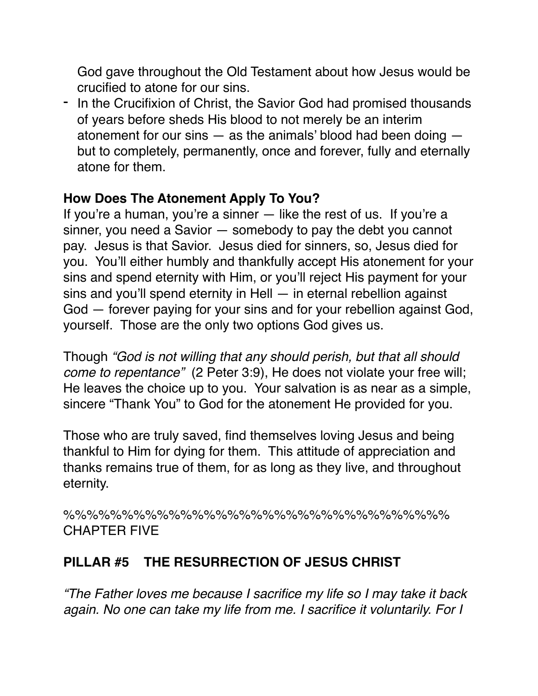God gave throughout the Old Testament about how Jesus would be crucified to atone for our sins.

- In the Crucifixion of Christ, the Savior God had promised thousands of years before sheds His blood to not merely be an interim atonement for our sins — as the animals' blood had been doing but to completely, permanently, once and forever, fully and eternally atone for them.

#### **How Does The Atonement Apply To You?**

If you're a human, you're a sinner — like the rest of us. If you're a sinner, you need a Savior — somebody to pay the debt you cannot pay. Jesus is that Savior. Jesus died for sinners, so, Jesus died for you. You'll either humbly and thankfully accept His atonement for your sins and spend eternity with Him, or you'll reject His payment for your sins and you'll spend eternity in Hell — in eternal rebellion against God — forever paying for your sins and for your rebellion against God, yourself. Those are the only two options God gives us.

Though *"God is not willing that any should perish, but that all should come to repentance"* (2 Peter 3:9), He does not violate your free will; He leaves the choice up to you. Your salvation is as near as a simple, sincere "Thank You" to God for the atonement He provided for you.

Those who are truly saved, find themselves loving Jesus and being thankful to Him for dying for them. This attitude of appreciation and thanks remains true of them, for as long as they live, and throughout eternity.

%%%%%%%%%%%%%%%%%%%%%%%%%%%%%%%%% CHAPTER FIVE

### **PILLAR #5 THE RESURRECTION OF JESUS CHRIST**

*"The Father loves me because I sacrifice my life so I may take it back again. No one can take my life from me. I sacrifice it voluntarily. For I*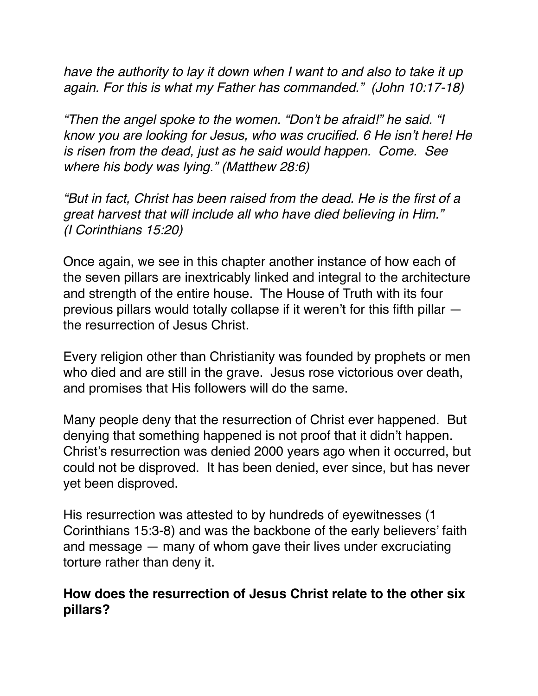*have the authority to lay it down when I want to and also to take it up again. For this is what my Father has commanded." (John 10:17-18)*

*"Then the angel spoke to the women. "Don't be afraid!" he said. "I know you are looking for Jesus, who was crucified. 6 He isn't here! He is risen from the dead, just as he said would happen. Come. See where his body was lying." (Matthew 28:6)*

*"But in fact, Christ has been raised from the dead. He is the first of a great harvest that will include all who have died believing in Him." (I Corinthians 15:20)*

Once again, we see in this chapter another instance of how each of the seven pillars are inextricably linked and integral to the architecture and strength of the entire house. The House of Truth with its four previous pillars would totally collapse if it weren't for this fifth pillar the resurrection of Jesus Christ.

Every religion other than Christianity was founded by prophets or men who died and are still in the grave. Jesus rose victorious over death, and promises that His followers will do the same.

Many people deny that the resurrection of Christ ever happened. But denying that something happened is not proof that it didn't happen. Christ's resurrection was denied 2000 years ago when it occurred, but could not be disproved. It has been denied, ever since, but has never yet been disproved.

His resurrection was attested to by hundreds of eyewitnesses (1 Corinthians 15:3-8) and was the backbone of the early believers' faith and message — many of whom gave their lives under excruciating torture rather than deny it.

#### **How does the resurrection of Jesus Christ relate to the other six pillars?**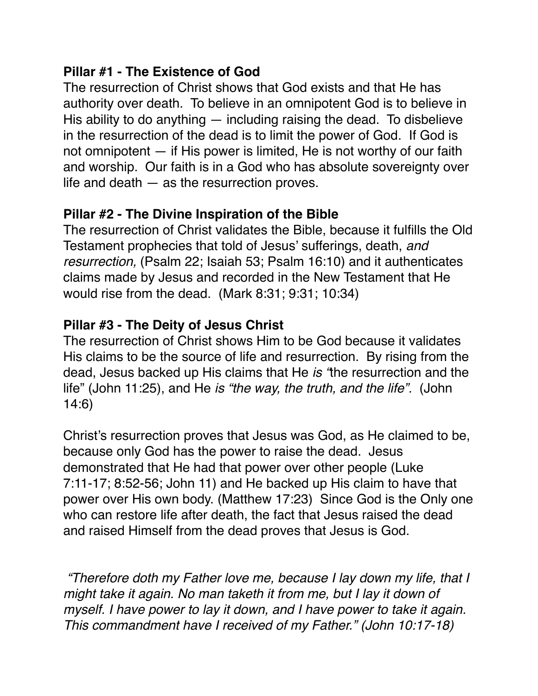### **Pillar #1 - The Existence of God**

The resurrection of Christ shows that God exists and that He has authority over death. To believe in an omnipotent God is to believe in His ability to do anything  $-$  including raising the dead. To disbelieve in the resurrection of the dead is to limit the power of God. If God is not omnipotent — if His power is limited, He is not worthy of our faith and worship. Our faith is in a God who has absolute sovereignty over life and death  $-$  as the resurrection proves.

### **Pillar #2 - The Divine Inspiration of the Bible**

The resurrection of Christ validates the Bible, because it fulfills the Old Testament prophecies that told of Jesus' sufferings, death, *and resurrection,* (Psalm 22; Isaiah 53; Psalm 16:10) and it authenticates claims made by Jesus and recorded in the New Testament that He would rise from the dead. (Mark 8:31; 9:31; 10:34)

### **Pillar #3 - The Deity of Jesus Christ**

The resurrection of Christ shows Him to be God because it validates His claims to be the source of life and resurrection. By rising from the dead, Jesus backed up His claims that He *is "*the resurrection and the life" (John 11:25), and He *is "the way, the truth, and the life".* (John 14:6)

Christ's resurrection proves that Jesus was God, as He claimed to be, because only God has the power to raise the dead. Jesus demonstrated that He had that power over other people (Luke 7:11-17; 8:52-56; John 11) and He backed up His claim to have that power over His own body. (Matthew 17:23) Since God is the Only one who can restore life after death, the fact that Jesus raised the dead and raised Himself from the dead proves that Jesus is God.

 *"Therefore doth my Father love me, because I lay down my life, that I might take it again. No man taketh it from me, but I lay it down of myself. I have power to lay it down, and I have power to take it again. This commandment have I received of my Father." (John 10:17-18)*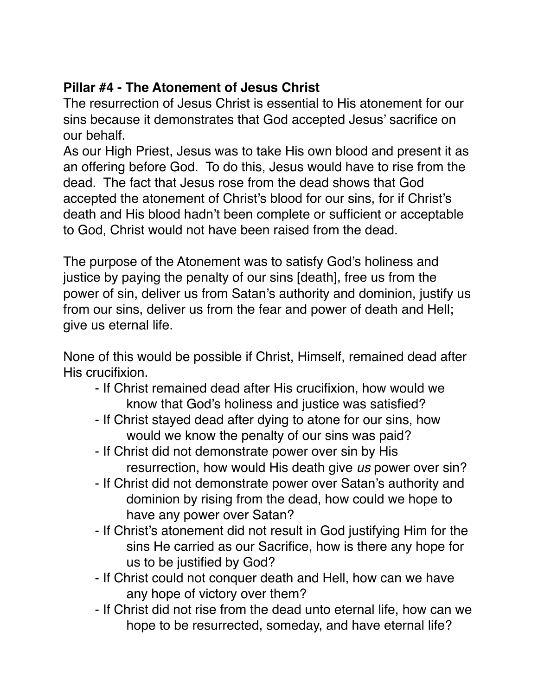## **Pillar #4 - The Atonement of Jesus Christ**

The resurrection of Jesus Christ is essential to His atonement for our sins because it demonstrates that God accepted Jesus' sacrifice on our behalf.

As our High Priest, Jesus was to take His own blood and present it as an offering before God. To do this, Jesus would have to rise from the dead. The fact that Jesus rose from the dead shows that God accepted the atonement of Christ's blood for our sins, for if Christ's death and His blood hadn't been complete or sufficient or acceptable to God, Christ would not have been raised from the dead.

The purpose of the Atonement was to satisfy God's holiness and justice by paying the penalty of our sins [death], free us from the power of sin, deliver us from Satan's authority and dominion, justify us from our sins, deliver us from the fear and power of death and Hell; give us eternal life.

None of this would be possible if Christ, Himself, remained dead after His crucifixion.

- If Christ remained dead after His crucifixion, how would we know that God's holiness and justice was satisfied?
- If Christ stayed dead after dying to atone for our sins, how would we know the penalty of our sins was paid?
- If Christ did not demonstrate power over sin by His resurrection, how would His death give *us* power over sin?
- If Christ did not demonstrate power over Satan's authority and dominion by rising from the dead, how could we hope to have any power over Satan?
- If Christ's atonement did not result in God justifying Him for the sins He carried as our Sacrifice, how is there any hope for us to be justified by God?
- If Christ could not conquer death and Hell, how can we have any hope of victory over them?
- If Christ did not rise from the dead unto eternal life, how can we hope to be resurrected, someday, and have eternal life?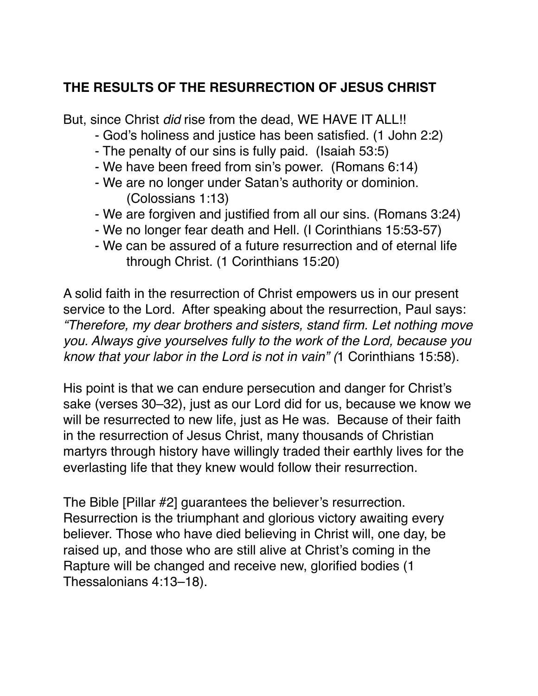### **THE RESULTS OF THE RESURRECTION OF JESUS CHRIST**

But, since Christ *did* rise from the dead, WE HAVE IT ALL!!

- God's holiness and justice has been satisfied. (1 John 2:2)
- The penalty of our sins is fully paid. (Isaiah 53:5)
- We have been freed from sin's power. (Romans 6:14)
- We are no longer under Satan's authority or dominion. (Colossians 1:13)
- We are forgiven and justified from all our sins. (Romans 3:24)
- We no longer fear death and Hell. (I Corinthians 15:53-57)
- We can be assured of a future resurrection and of eternal life through Christ. (1 Corinthians 15:20)

A solid faith in the resurrection of Christ empowers us in our present service to the Lord. After speaking about the resurrection, Paul says: *"Therefore, my dear brothers and sisters, stand firm. Let nothing move you. Always give yourselves fully to the work of the Lord, because you know that your labor in the Lord is not in vain" (*1 Corinthians 15:58).

His point is that we can endure persecution and danger for Christ's sake (verses 30–32), just as our Lord did for us, because we know we will be resurrected to new life, just as He was. Because of their faith in the resurrection of Jesus Christ, many thousands of Christian martyrs through history have willingly traded their earthly lives for the everlasting life that they knew would follow their resurrection.

The Bible [Pillar #2] guarantees the believer's resurrection. Resurrection is the triumphant and glorious victory awaiting every believer. Those who have died believing in Christ will, one day, be raised up, and those who are still alive at Christ's coming in the Rapture will be changed and receive new, glorified bodies (1 Thessalonians 4:13–18).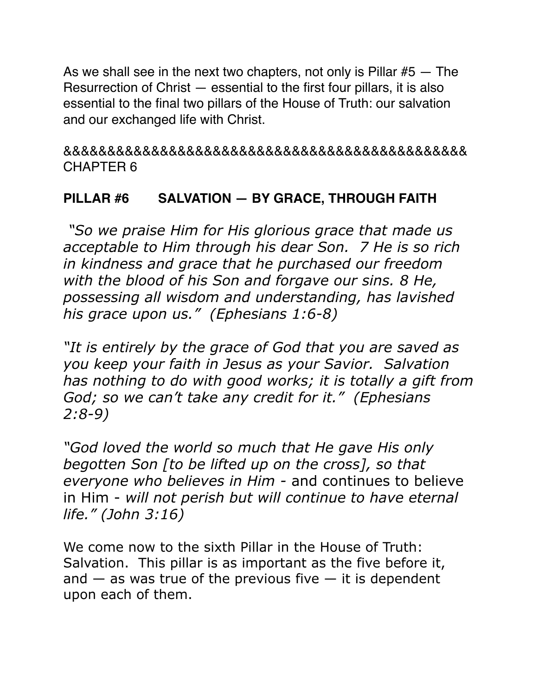As we shall see in the next two chapters, not only is Pillar  $#5 -$  The Resurrection of Christ — essential to the first four pillars, it is also essential to the final two pillars of the House of Truth: our salvation and our exchanged life with Christ.

&&&&&&&&&&&&&&&&&&&&&&&&&&&&&&&&&&&&&&&&&&&&&& CHAPTER 6

### **PILLAR #6 SALVATION — BY GRACE, THROUGH FAITH**

 *"So we praise Him for His glorious grace that made us acceptable to Him through his dear Son. 7 He is so rich in kindness and grace that he purchased our freedom with the blood of his Son and forgave our sins. 8 He, possessing all wisdom and understanding, has lavished his grace upon us." (Ephesians 1:6-8)* 

*"It is entirely by the grace of God that you are saved as you keep your faith in Jesus as your Savior. Salvation has nothing to do with good works; it is totally a gift from God; so we can't take any credit for it." (Ephesians 2:8-9)* 

*"God loved the world so much that He gave His only begotten Son [to be lifted up on the cross], so that everyone who believes in Him -* and continues to believe in Him - *will not perish but will continue to have eternal life." (John 3:16)* 

We come now to the sixth Pillar in the House of Truth: Salvation. This pillar is as important as the five before it, and  $-$  as was true of the previous five  $-$  it is dependent upon each of them.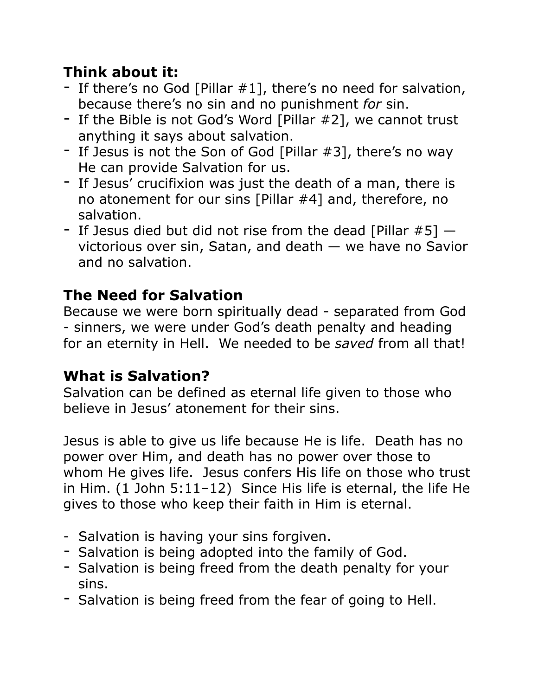# **Think about it:**

- If there's no God [Pillar #1], there's no need for salvation, because there's no sin and no punishment *for* sin.
- If the Bible is not God's Word [Pillar #2], we cannot trust anything it says about salvation.
- If Jesus is not the Son of God [Pillar #3], there's no way He can provide Salvation for us.
- If Jesus' crucifixion was just the death of a man, there is no atonement for our sins [Pillar #4] and, therefore, no salvation.
- If Jesus died but did not rise from the dead [Pillar  $#5$ ]  $$ victorious over sin, Satan, and death — we have no Savior and no salvation.

# **The Need for Salvation**

Because we were born spiritually dead - separated from God - sinners, we were under God's death penalty and heading for an eternity in Hell. We needed to be *saved* from all that!

# **What is Salvation?**

Salvation can be defined as eternal life given to those who believe in Jesus' atonement for their sins.

Jesus is able to give us life because He is life. Death has no power over Him, and death has no power over those to whom He gives life. Jesus confers His life on those who trust in Him. (1 John 5:11–12) Since His life is eternal, the life He gives to those who keep their faith in Him is eternal.

- Salvation is having your sins forgiven.
- Salvation is being adopted into the family of God.
- Salvation is being freed from the death penalty for your sins.
- Salvation is being freed from the fear of going to Hell.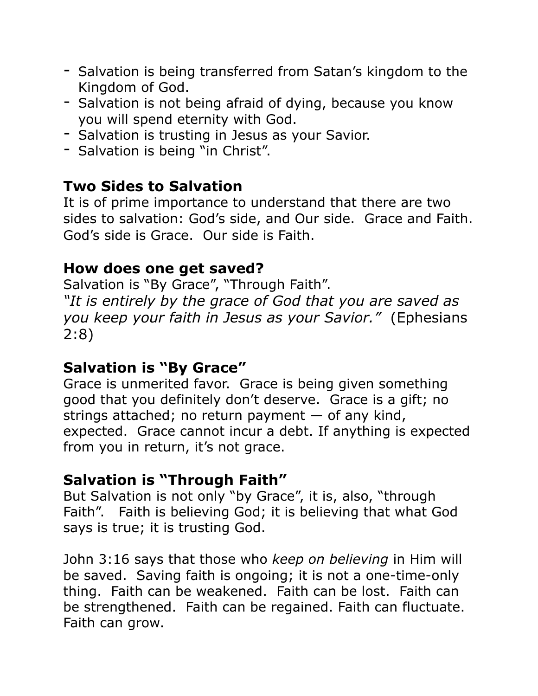- Salvation is being transferred from Satan's kingdom to the Kingdom of God.
- Salvation is not being afraid of dying, because you know you will spend eternity with God.
- Salvation is trusting in Jesus as your Savior.
- Salvation is being "in Christ".

## **Two Sides to Salvation**

It is of prime importance to understand that there are two sides to salvation: God's side, and Our side. Grace and Faith. God's side is Grace. Our side is Faith.

### **How does one get saved?**

Salvation is "By Grace", "Through Faith". *"It is entirely by the grace of God that you are saved as you keep your faith in Jesus as your Savior."* (Ephesians 2:8)

## **Salvation is "By Grace"**

Grace is unmerited favor. Grace is being given something good that you definitely don't deserve. Grace is a gift; no strings attached; no return payment  $-$  of any kind, expected. Grace cannot incur a debt. If anything is expected from you in return, it's not grace.

### **Salvation is "Through Faith"**

But Salvation is not only "by Grace", it is, also, "through Faith". Faith is believing God; it is believing that what God says is true; it is trusting God.

John 3:16 says that those who *keep on believing* in Him will be saved. Saving faith is ongoing; it is not a one-time-only thing. Faith can be weakened. Faith can be lost. Faith can be strengthened. Faith can be regained. Faith can fluctuate. Faith can grow.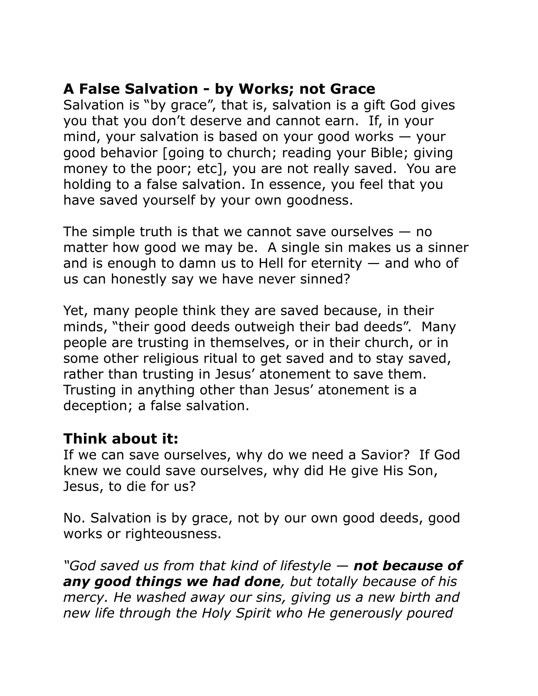## **A False Salvation - by Works; not Grace**

Salvation is "by grace", that is, salvation is a gift God gives you that you don't deserve and cannot earn. If, in your mind, your salvation is based on your good works — your good behavior [going to church; reading your Bible; giving money to the poor; etc], you are not really saved. You are holding to a false salvation. In essence, you feel that you have saved yourself by your own goodness.

The simple truth is that we cannot save ourselves  $-$  no matter how good we may be. A single sin makes us a sinner and is enough to damn us to Hell for eternity  $-$  and who of us can honestly say we have never sinned?

Yet, many people think they are saved because, in their minds, "their good deeds outweigh their bad deeds". Many people are trusting in themselves, or in their church, or in some other religious ritual to get saved and to stay saved, rather than trusting in Jesus' atonement to save them. Trusting in anything other than Jesus' atonement is a deception; a false salvation.

## **Think about it:**

If we can save ourselves, why do we need a Savior? If God knew we could save ourselves, why did He give His Son, Jesus, to die for us?

No. Salvation is by grace, not by our own good deeds, good works or righteousness.

*"God saved us from that kind of lifestyle — not because of any good things we had done, but totally because of his mercy. He washed away our sins, giving us a new birth and new life through the Holy Spirit who He generously poured*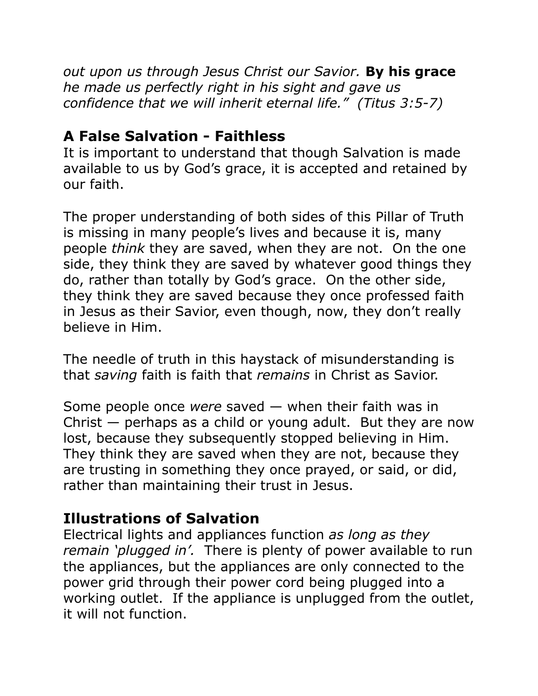*out upon us through Jesus Christ our Savior.* **By his grace** *he made us perfectly right in his sight and gave us confidence that we will inherit eternal life." (Titus 3:5-7)* 

### **A False Salvation - Faithless**

It is important to understand that though Salvation is made available to us by God's grace, it is accepted and retained by our faith.

The proper understanding of both sides of this Pillar of Truth is missing in many people's lives and because it is, many people *think* they are saved, when they are not. On the one side, they think they are saved by whatever good things they do, rather than totally by God's grace. On the other side, they think they are saved because they once professed faith in Jesus as their Savior, even though, now, they don't really believe in Him.

The needle of truth in this haystack of misunderstanding is that *saving* faith is faith that *remains* in Christ as Savior.

Some people once *were* saved — when their faith was in Christ — perhaps as a child or young adult. But they are now lost, because they subsequently stopped believing in Him. They think they are saved when they are not, because they are trusting in something they once prayed, or said, or did, rather than maintaining their trust in Jesus.

## **Illustrations of Salvation**

Electrical lights and appliances function *as long as they remain 'plugged in'.* There is plenty of power available to run the appliances, but the appliances are only connected to the power grid through their power cord being plugged into a working outlet. If the appliance is unplugged from the outlet, it will not function.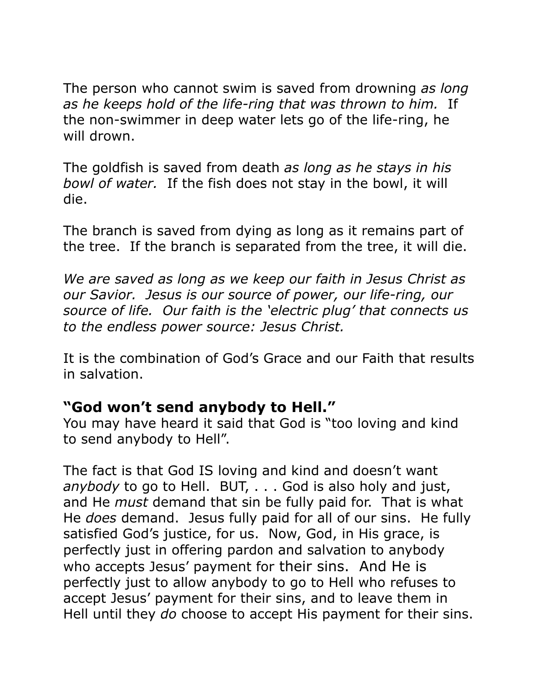The person who cannot swim is saved from drowning *as long as he keeps hold of the life-ring that was thrown to him.* If the non-swimmer in deep water lets go of the life-ring, he will drown.

The goldfish is saved from death *as long as he stays in his bowl of water.* If the fish does not stay in the bowl, it will die.

The branch is saved from dying as long as it remains part of the tree. If the branch is separated from the tree, it will die.

*We are saved as long as we keep our faith in Jesus Christ as our Savior. Jesus is our source of power, our life-ring, our source of life. Our faith is the 'electric plug' that connects us to the endless power source: Jesus Christ.* 

It is the combination of God's Grace and our Faith that results in salvation.

### **"God won't send anybody to Hell."**

You may have heard it said that God is "too loving and kind to send anybody to Hell".

The fact is that God IS loving and kind and doesn't want *anybody* to go to Hell. BUT, . . . God is also holy and just, and He *must* demand that sin be fully paid for. That is what He *does* demand. Jesus fully paid for all of our sins. He fully satisfied God's justice, for us. Now, God, in His grace, is perfectly just in offering pardon and salvation to anybody who accepts Jesus' payment for their sins. And He is perfectly just to allow anybody to go to Hell who refuses to accept Jesus' payment for their sins, and to leave them in Hell until they *do* choose to accept His payment for their sins.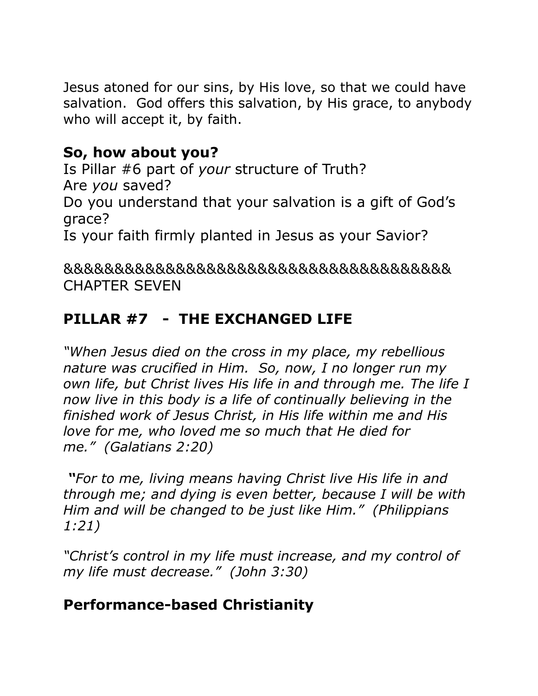Jesus atoned for our sins, by His love, so that we could have salvation. God offers this salvation, by His grace, to anybody who will accept it, by faith.

## **So, how about you?**

Is Pillar #6 part of *your* structure of Truth? Are *you* saved? Do you understand that your salvation is a gift of God's grace? Is your faith firmly planted in Jesus as your Savior?

&&&&&&&&&&&&&&&&&&&&&&&&&&&&&&&&&&&&&& CHAPTER SEVEN

# **PILLAR #7 - THE EXCHANGED LIFE**

*"When Jesus died on the cross in my place, my rebellious nature was crucified in Him. So, now, I no longer run my own life, but Christ lives His life in and through me. The life I now live in this body is a life of continually believing in the finished work of Jesus Christ, in His life within me and His love for me, who loved me so much that He died for me." (Galatians 2:20)* 

 *"For to me, living means having Christ live His life in and through me; and dying is even better, because I will be with Him and will be changed to be just like Him." (Philippians 1:21)* 

*"Christ's control in my life must increase, and my control of my life must decrease." (John 3:30)* 

# **Performance-based Christianity**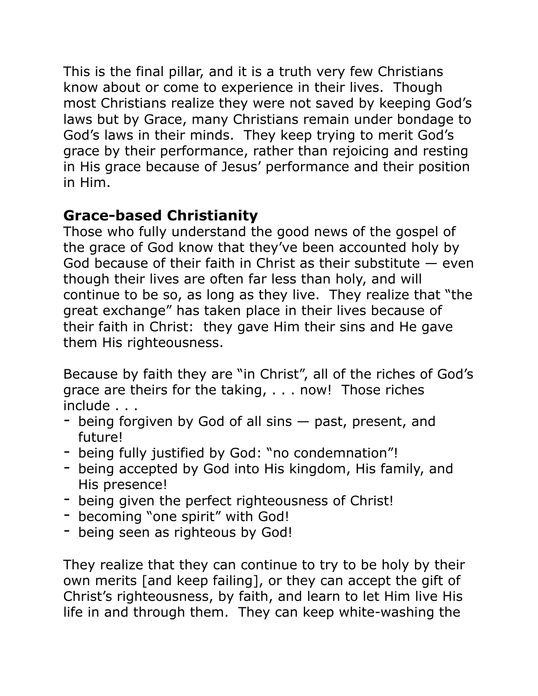This is the final pillar, and it is a truth very few Christians know about or come to experience in their lives. Though most Christians realize they were not saved by keeping God's laws but by Grace, many Christians remain under bondage to God's laws in their minds. They keep trying to merit God's grace by their performance, rather than rejoicing and resting in His grace because of Jesus' performance and their position in Him.

# **Grace-based Christianity**

Those who fully understand the good news of the gospel of the grace of God know that they've been accounted holy by God because of their faith in Christ as their substitute  $-$  even though their lives are often far less than holy, and will continue to be so, as long as they live. They realize that "the great exchange" has taken place in their lives because of their faith in Christ: they gave Him their sins and He gave them His righteousness.

Because by faith they are "in Christ", all of the riches of God's grace are theirs for the taking, . . . now! Those riches include . . .

- being forgiven by God of all sins past, present, and future!
- being fully justified by God: "no condemnation"!
- being accepted by God into His kingdom, His family, and His presence!
- being given the perfect righteousness of Christ!
- becoming "one spirit" with God!
- being seen as righteous by God!

They realize that they can continue to try to be holy by their own merits [and keep failing], or they can accept the gift of Christ's righteousness, by faith, and learn to let Him live His life in and through them. They can keep white-washing the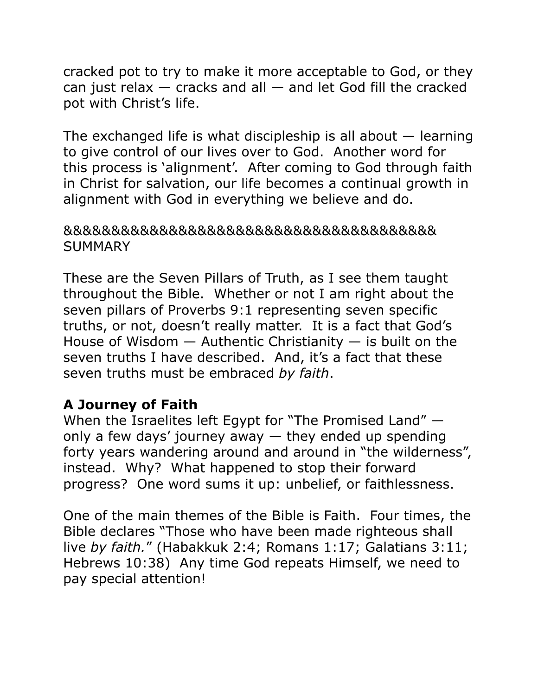cracked pot to try to make it more acceptable to God, or they can just relax — cracks and all — and let God fill the cracked pot with Christ's life.

The exchanged life is what discipleship is all about  $-$  learning to give control of our lives over to God. Another word for this process is 'alignment'. After coming to God through faith in Christ for salvation, our life becomes a continual growth in alignment with God in everything we believe and do.

#### &&&&&&&&&&&&&&&&&&&&&&&&&&&&&&&&&&&&&&& **SUMMARY**

These are the Seven Pillars of Truth, as I see them taught throughout the Bible. Whether or not I am right about the seven pillars of Proverbs 9:1 representing seven specific truths, or not, doesn't really matter. It is a fact that God's House of Wisdom  $-$  Authentic Christianity  $-$  is built on the seven truths I have described. And, it's a fact that these seven truths must be embraced *by faith*.

### **A Journey of Faith**

When the Israelites left Egypt for "The Promised Land" only a few days' journey away  $-$  they ended up spending forty years wandering around and around in "the wilderness", instead. Why? What happened to stop their forward progress? One word sums it up: unbelief, or faithlessness.

One of the main themes of the Bible is Faith. Four times, the Bible declares "Those who have been made righteous shall live *by faith.*" (Habakkuk 2:4; Romans 1:17; Galatians 3:11; Hebrews 10:38) Any time God repeats Himself, we need to pay special attention!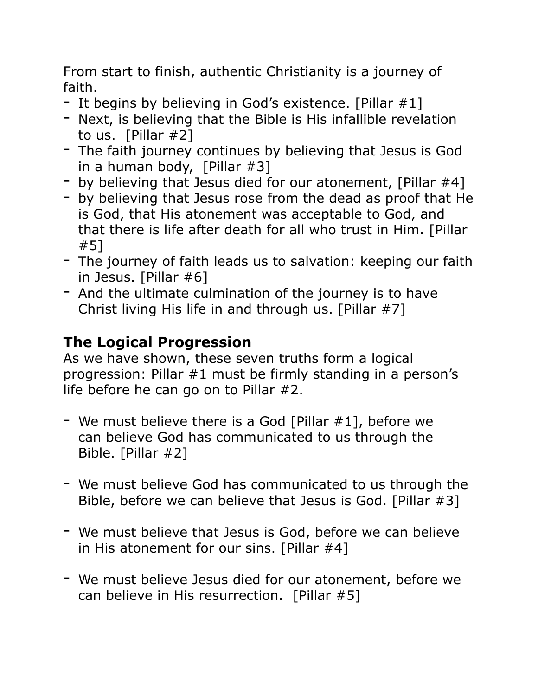From start to finish, authentic Christianity is a journey of faith.

- It begins by believing in God's existence. [Pillar #1]
- Next, is believing that the Bible is His infallible revelation to us. [Pillar #2]
- The faith journey continues by believing that Jesus is God in a human body, [Pillar #3]
- by believing that Jesus died for our atonement, [Pillar #4]
- by believing that Jesus rose from the dead as proof that He is God, that His atonement was acceptable to God, and that there is life after death for all who trust in Him. [Pillar #5]
- The journey of faith leads us to salvation: keeping our faith in Jesus. [Pillar #6]
- And the ultimate culmination of the journey is to have Christ living His life in and through us. [Pillar #7]

# **The Logical Progression**

As we have shown, these seven truths form a logical progression: Pillar #1 must be firmly standing in a person's life before he can go on to Pillar #2.

- We must believe there is a God [Pillar #1], before we can believe God has communicated to us through the Bible. [Pillar #2]
- We must believe God has communicated to us through the Bible, before we can believe that Jesus is God. [Pillar #3]
- We must believe that Jesus is God, before we can believe in His atonement for our sins. [Pillar #4]
- We must believe Jesus died for our atonement, before we can believe in His resurrection. [Pillar #5]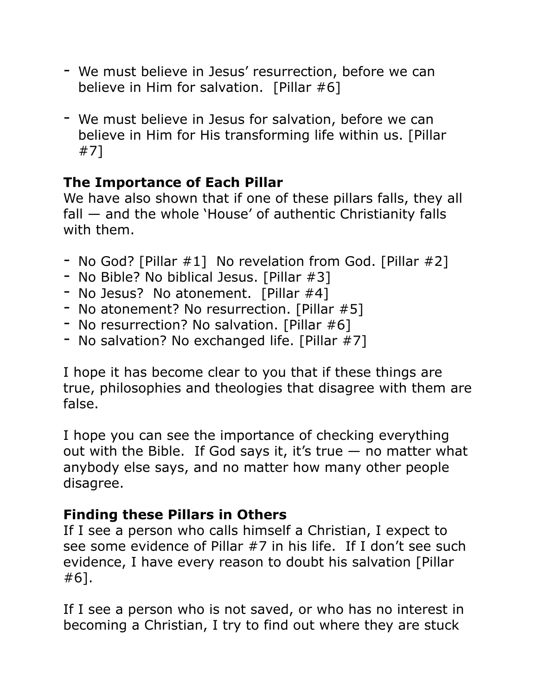- We must believe in Jesus' resurrection, before we can believe in Him for salvation. [Pillar #6]
- We must believe in Jesus for salvation, before we can believe in Him for His transforming life within us. [Pillar #7]

## **The Importance of Each Pillar**

We have also shown that if one of these pillars falls, they all fall — and the whole 'House' of authentic Christianity falls with them.

- No God? [Pillar #1] No revelation from God. [Pillar #2]
- No Bible? No biblical Jesus. [Pillar #3]
- No Jesus? No atonement. [Pillar #4]
- No atonement? No resurrection. [Pillar #5]
- No resurrection? No salvation. [Pillar #6]
- No salvation? No exchanged life. [Pillar #7]

I hope it has become clear to you that if these things are true, philosophies and theologies that disagree with them are false.

I hope you can see the importance of checking everything out with the Bible. If God says it, it's true  $-$  no matter what anybody else says, and no matter how many other people disagree.

### **Finding these Pillars in Others**

If I see a person who calls himself a Christian, I expect to see some evidence of Pillar #7 in his life. If I don't see such evidence, I have every reason to doubt his salvation [Pillar #6].

If I see a person who is not saved, or who has no interest in becoming a Christian, I try to find out where they are stuck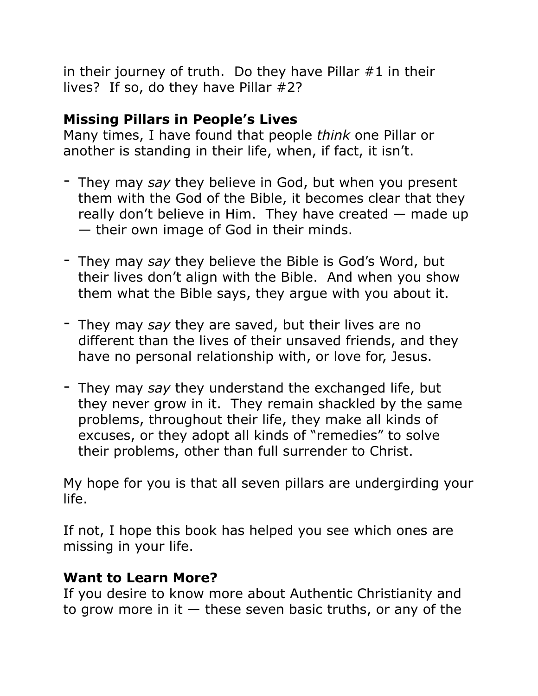in their journey of truth. Do they have Pillar  $#1$  in their lives? If so, do they have Pillar #2?

### **Missing Pillars in People's Lives**

Many times, I have found that people *think* one Pillar or another is standing in their life, when, if fact, it isn't.

- They may *say* they believe in God, but when you present them with the God of the Bible, it becomes clear that they really don't believe in Him. They have created — made up — their own image of God in their minds.
- They may *say* they believe the Bible is God's Word, but their lives don't align with the Bible. And when you show them what the Bible says, they argue with you about it.
- They may *say* they are saved, but their lives are no different than the lives of their unsaved friends, and they have no personal relationship with, or love for, Jesus.
- They may *say* they understand the exchanged life, but they never grow in it. They remain shackled by the same problems, throughout their life, they make all kinds of excuses, or they adopt all kinds of "remedies" to solve their problems, other than full surrender to Christ.

My hope for you is that all seven pillars are undergirding your life.

If not, I hope this book has helped you see which ones are missing in your life.

### **Want to Learn More?**

If you desire to know more about Authentic Christianity and to grow more in it  $-$  these seven basic truths, or any of the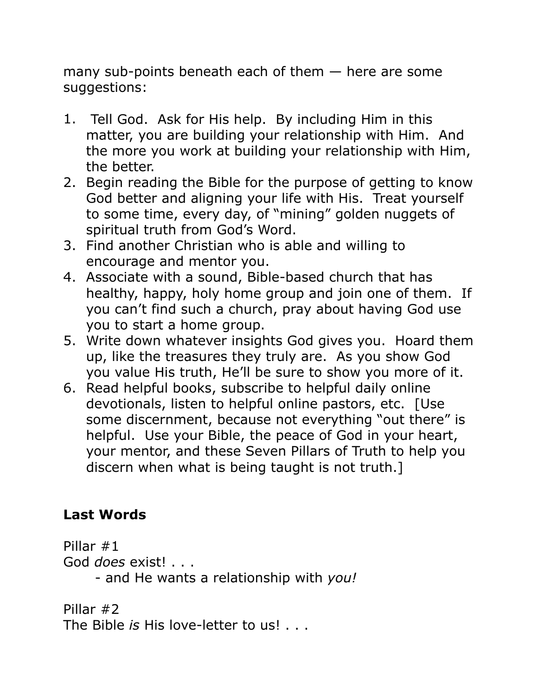many sub-points beneath each of them — here are some suggestions:

- 1. Tell God. Ask for His help. By including Him in this matter, you are building your relationship with Him. And the more you work at building your relationship with Him, the better.
- 2. Begin reading the Bible for the purpose of getting to know God better and aligning your life with His. Treat yourself to some time, every day, of "mining" golden nuggets of spiritual truth from God's Word.
- 3. Find another Christian who is able and willing to encourage and mentor you.
- 4. Associate with a sound, Bible-based church that has healthy, happy, holy home group and join one of them. If you can't find such a church, pray about having God use you to start a home group.
- 5. Write down whatever insights God gives you. Hoard them up, like the treasures they truly are. As you show God you value His truth, He'll be sure to show you more of it.
- 6. Read helpful books, subscribe to helpful daily online devotionals, listen to helpful online pastors, etc. [Use some discernment, because not everything "out there" is helpful. Use your Bible, the peace of God in your heart, your mentor, and these Seven Pillars of Truth to help you discern when what is being taught is not truth.]

# **Last Words**

Pillar #1 God *does* exist! . . . - and He wants a relationship with *you!* 

Pillar #2 The Bible *is* His love-letter to us! . . .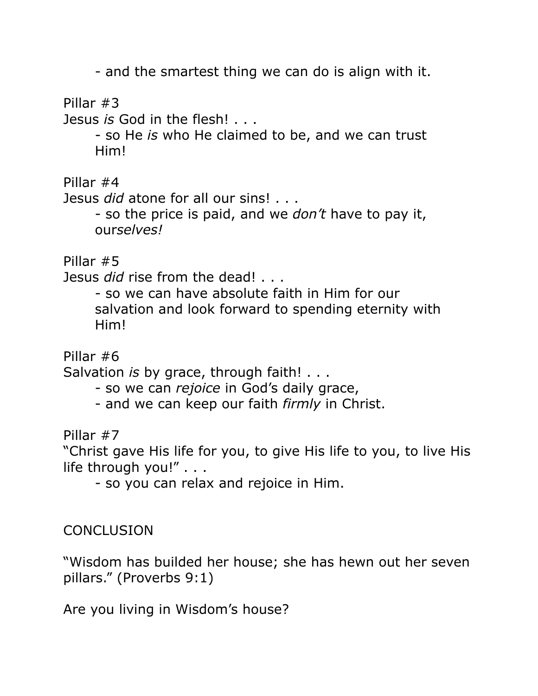- and the smartest thing we can do is align with it.

Pillar #3

Jesus *is* God in the flesh! . . .

 - so He *is* who He claimed to be, and we can trust Him!

Pillar #4

Jesus *did* atone for all our sins! . . .

 - so the price is paid, and we *don't* have to pay it, our*selves!* 

Pillar #5

Jesus *did* rise from the dead! . . .

 - so we can have absolute faith in Him for our salvation and look forward to spending eternity with Him!

Pillar #6

Salvation *is* by grace, through faith! . . .

- so we can *rejoice* in God's daily grace,
- and we can keep our faith *firmly* in Christ.

Pillar #7

"Christ gave His life for you, to give His life to you, to live His life through you!" . . .

- so you can relax and rejoice in Him.

**CONCLUSION** 

"Wisdom has builded her house; she has hewn out her seven pillars." (Proverbs 9:1)

Are you living in Wisdom's house?